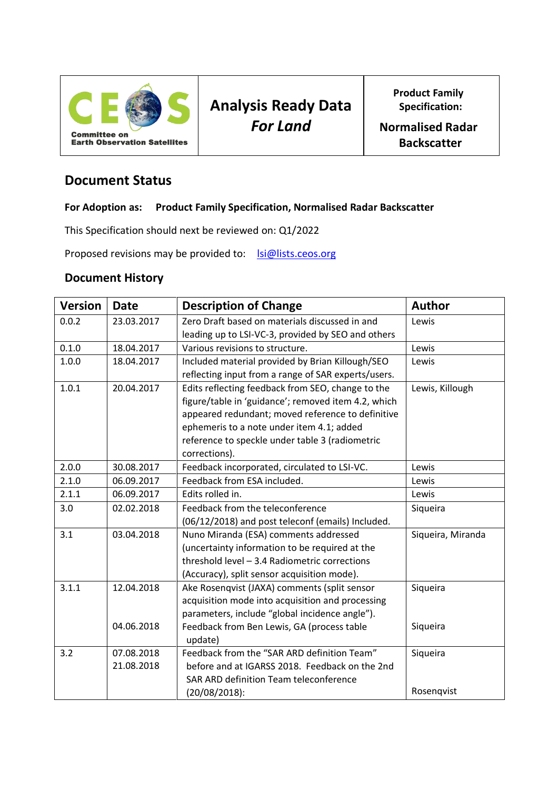

**Product Family Specification:**

**Normalised Radar Backscatter**

## **Document Status**

#### **For Adoption as: Product Family Specification, Normalised Radar Backscatter**

This Specification should next be reviewed on: Q1/2022

Proposed revisions may be provided to: [lsi@lists.ceos.org](mailto:lsi@lists.ceos.org)

#### **Document History**

| <b>Version</b> | <b>Date</b> | <b>Description of Change</b>                        | <b>Author</b>     |
|----------------|-------------|-----------------------------------------------------|-------------------|
| 0.0.2          | 23.03.2017  | Zero Draft based on materials discussed in and      | Lewis             |
|                |             | leading up to LSI-VC-3, provided by SEO and others  |                   |
| 0.1.0          | 18.04.2017  | Various revisions to structure.                     | Lewis             |
| 1.0.0          | 18.04.2017  | Included material provided by Brian Killough/SEO    | Lewis             |
|                |             | reflecting input from a range of SAR experts/users. |                   |
| 1.0.1          | 20.04.2017  | Edits reflecting feedback from SEO, change to the   | Lewis, Killough   |
|                |             | figure/table in 'guidance'; removed item 4.2, which |                   |
|                |             | appeared redundant; moved reference to definitive   |                   |
|                |             | ephemeris to a note under item 4.1; added           |                   |
|                |             | reference to speckle under table 3 (radiometric     |                   |
|                |             | corrections).                                       |                   |
| 2.0.0          | 30.08.2017  | Feedback incorporated, circulated to LSI-VC.        | Lewis             |
| 2.1.0          | 06.09.2017  | Feedback from ESA included.                         | Lewis             |
| 2.1.1          | 06.09.2017  | Edits rolled in.                                    | Lewis             |
| 3.0            | 02.02.2018  | Feedback from the teleconference                    | Siqueira          |
|                |             | (06/12/2018) and post teleconf (emails) Included.   |                   |
| 3.1            | 03.04.2018  | Nuno Miranda (ESA) comments addressed               | Siqueira, Miranda |
|                |             | (uncertainty information to be required at the      |                   |
|                |             | threshold level - 3.4 Radiometric corrections       |                   |
|                |             | (Accuracy), split sensor acquisition mode).         |                   |
| 3.1.1          | 12.04.2018  | Ake Rosenqvist (JAXA) comments (split sensor        | Siqueira          |
|                |             | acquisition mode into acquisition and processing    |                   |
|                |             | parameters, include "global incidence angle").      |                   |
|                | 04.06.2018  | Feedback from Ben Lewis, GA (process table          | Siqueira          |
|                |             | update)                                             |                   |
| 3.2            | 07.08.2018  | Feedback from the "SAR ARD definition Team"         | Siqueira          |
|                | 21.08.2018  | before and at IGARSS 2018. Feedback on the 2nd      |                   |
|                |             | SAR ARD definition Team teleconference              |                   |
|                |             | $(20/08/2018)$ :                                    | Rosenqvist        |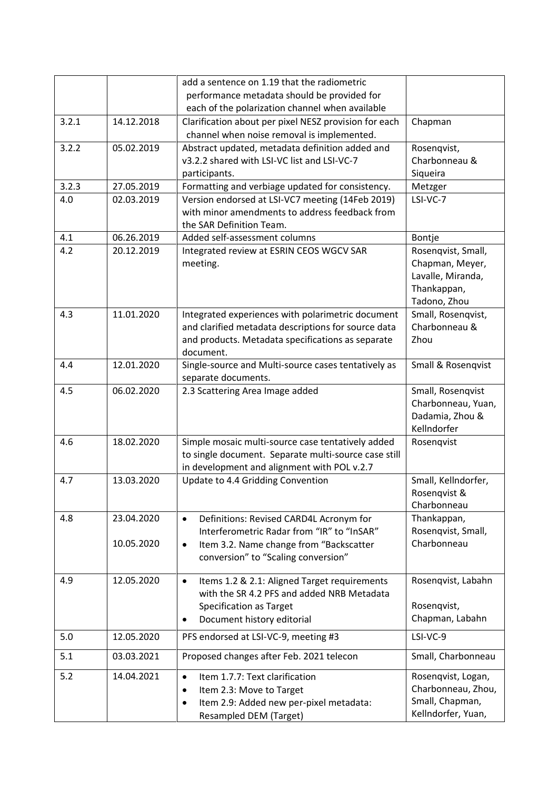|       |            | add a sentence on 1.19 that the radiometric                                                        |                                   |
|-------|------------|----------------------------------------------------------------------------------------------------|-----------------------------------|
|       |            | performance metadata should be provided for                                                        |                                   |
|       |            | each of the polarization channel when available                                                    |                                   |
| 3.2.1 | 14.12.2018 | Clarification about per pixel NESZ provision for each                                              | Chapman                           |
|       |            | channel when noise removal is implemented.                                                         |                                   |
| 3.2.2 | 05.02.2019 | Abstract updated, metadata definition added and                                                    | Rosenqvist,                       |
|       |            | v3.2.2 shared with LSI-VC list and LSI-VC-7                                                        | Charbonneau &                     |
|       |            | participants.                                                                                      | Siqueira                          |
| 3.2.3 | 27.05.2019 | Formatting and verbiage updated for consistency.                                                   | Metzger                           |
| 4.0   | 02.03.2019 | Version endorsed at LSI-VC7 meeting (14Feb 2019)                                                   | LSI-VC-7                          |
|       |            | with minor amendments to address feedback from                                                     |                                   |
|       |            | the SAR Definition Team.                                                                           |                                   |
| 4.1   | 06.26.2019 | Added self-assessment columns                                                                      | Bontje                            |
| 4.2   | 20.12.2019 | Integrated review at ESRIN CEOS WGCV SAR                                                           | Rosenqvist, Small,                |
|       |            | meeting.                                                                                           | Chapman, Meyer,                   |
|       |            |                                                                                                    | Lavalle, Miranda,                 |
|       |            |                                                                                                    | Thankappan,                       |
|       |            |                                                                                                    | Tadono, Zhou                      |
| 4.3   | 11.01.2020 | Integrated experiences with polarimetric document                                                  | Small, Rosenqvist,                |
|       |            | and clarified metadata descriptions for source data                                                | Charbonneau &                     |
|       |            | and products. Metadata specifications as separate                                                  | Zhou                              |
|       |            | document.                                                                                          |                                   |
| 4.4   | 12.01.2020 | Single-source and Multi-source cases tentatively as                                                | Small & Rosenqvist                |
|       |            | separate documents.                                                                                |                                   |
| 4.5   | 06.02.2020 | 2.3 Scattering Area Image added                                                                    | Small, Rosenqvist                 |
|       |            |                                                                                                    | Charbonneau, Yuan,                |
|       |            |                                                                                                    | Dadamia, Zhou &                   |
|       |            |                                                                                                    | Kellndorfer                       |
| 4.6   | 18.02.2020 | Simple mosaic multi-source case tentatively added                                                  | Rosenqvist                        |
|       |            | to single document. Separate multi-source case still                                               |                                   |
|       |            | in development and alignment with POL v.2.7                                                        |                                   |
| 4.7   | 13.03.2020 | Update to 4.4 Gridding Convention                                                                  | Small, Kellndorfer,               |
|       |            |                                                                                                    | Rosenavist &<br>Charbonneau       |
|       |            |                                                                                                    |                                   |
| 4.8   | 23.04.2020 | Definitions: Revised CARD4L Acronym for<br>$\bullet$<br>Interferometric Radar from "IR" to "InSAR" | Thankappan,<br>Rosenqvist, Small, |
|       | 10.05.2020 | Item 3.2. Name change from "Backscatter<br>$\bullet$                                               | Charbonneau                       |
|       |            | conversion" to "Scaling conversion"                                                                |                                   |
|       |            |                                                                                                    |                                   |
| 4.9   | 12.05.2020 | Items 1.2 & 2.1: Aligned Target requirements<br>$\bullet$                                          | Rosenqvist, Labahn                |
|       |            | with the SR 4.2 PFS and added NRB Metadata                                                         |                                   |
|       |            | <b>Specification as Target</b>                                                                     | Rosenqvist,                       |
|       |            | Document history editorial                                                                         | Chapman, Labahn                   |
| 5.0   | 12.05.2020 | PFS endorsed at LSI-VC-9, meeting #3                                                               | LSI-VC-9                          |
| 5.1   | 03.03.2021 | Proposed changes after Feb. 2021 telecon                                                           | Small, Charbonneau                |
| 5.2   | 14.04.2021 | Item 1.7.7: Text clarification<br>$\bullet$                                                        | Rosenqvist, Logan,                |
|       |            | Item 2.3: Move to Target<br>$\bullet$                                                              | Charbonneau, Zhou,                |
|       |            | Item 2.9: Added new per-pixel metadata:<br>$\bullet$                                               | Small, Chapman,                   |
|       |            | Resampled DEM (Target)                                                                             | Kellndorfer, Yuan,                |
|       |            |                                                                                                    |                                   |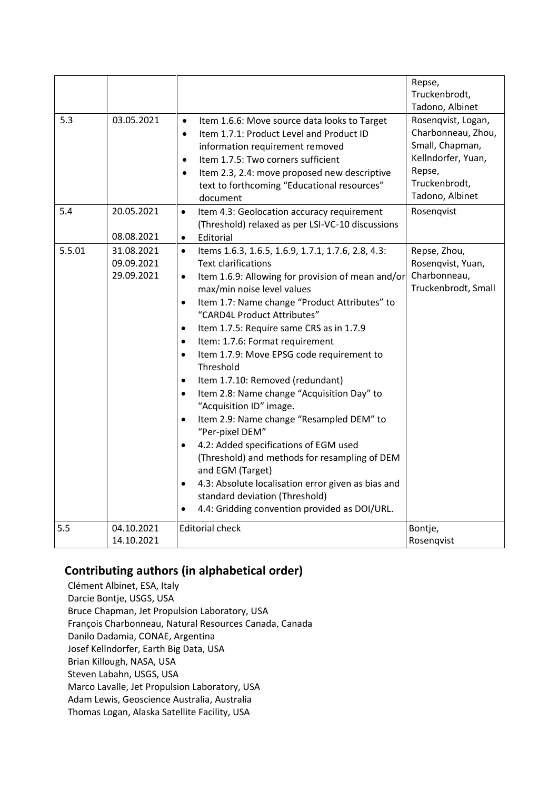|        |                                        |                                                                                                                                                                                                                                                                                                                                                                                                                                                                                                                                                                                                                                                                                                                                                                                                                                                                                                                                                                                             | Repse,<br>Truckenbrodt,<br>Tadono, Albinet                                                                                      |
|--------|----------------------------------------|---------------------------------------------------------------------------------------------------------------------------------------------------------------------------------------------------------------------------------------------------------------------------------------------------------------------------------------------------------------------------------------------------------------------------------------------------------------------------------------------------------------------------------------------------------------------------------------------------------------------------------------------------------------------------------------------------------------------------------------------------------------------------------------------------------------------------------------------------------------------------------------------------------------------------------------------------------------------------------------------|---------------------------------------------------------------------------------------------------------------------------------|
| 5.3    | 03.05.2021                             | Item 1.6.6: Move source data looks to Target<br>$\bullet$<br>Item 1.7.1: Product Level and Product ID<br>$\bullet$<br>information requirement removed<br>Item 1.7.5: Two corners sufficient<br>$\bullet$<br>Item 2.3, 2.4: move proposed new descriptive<br>$\bullet$<br>text to forthcoming "Educational resources"<br>document                                                                                                                                                                                                                                                                                                                                                                                                                                                                                                                                                                                                                                                            | Rosenqvist, Logan,<br>Charbonneau, Zhou,<br>Small, Chapman,<br>Kellndorfer, Yuan,<br>Repse,<br>Truckenbrodt,<br>Tadono, Albinet |
| 5.4    | 20.05.2021<br>08.08.2021               | Item 4.3: Geolocation accuracy requirement<br>$\bullet$<br>(Threshold) relaxed as per LSI-VC-10 discussions<br>Editorial<br>$\bullet$                                                                                                                                                                                                                                                                                                                                                                                                                                                                                                                                                                                                                                                                                                                                                                                                                                                       | Rosenqvist                                                                                                                      |
| 5.5.01 | 31.08.2021<br>09.09.2021<br>29.09.2021 | Items 1.6.3, 1.6.5, 1.6.9, 1.7.1, 1.7.6, 2.8, 4.3:<br>$\bullet$<br><b>Text clarifications</b><br>Item 1.6.9: Allowing for provision of mean and/or<br>$\bullet$<br>max/min noise level values<br>Item 1.7: Name change "Product Attributes" to<br>$\bullet$<br>"CARD4L Product Attributes"<br>Item 1.7.5: Require same CRS as in 1.7.9<br>$\bullet$<br>Item: 1.7.6: Format requirement<br>$\bullet$<br>Item 1.7.9: Move EPSG code requirement to<br>$\bullet$<br>Threshold<br>Item 1.7.10: Removed (redundant)<br>$\bullet$<br>Item 2.8: Name change "Acquisition Day" to<br>$\bullet$<br>"Acquisition ID" image.<br>Item 2.9: Name change "Resampled DEM" to<br>$\bullet$<br>"Per-pixel DEM"<br>4.2: Added specifications of EGM used<br>$\bullet$<br>(Threshold) and methods for resampling of DEM<br>and EGM (Target)<br>4.3: Absolute localisation error given as bias and<br>$\bullet$<br>standard deviation (Threshold)<br>4.4: Gridding convention provided as DOI/URL.<br>$\bullet$ | Repse, Zhou,<br>Rosenqvist, Yuan,<br>Charbonneau,<br>Truckenbrodt, Small                                                        |
| 5.5    | 04.10.2021<br>14.10.2021               | <b>Editorial check</b>                                                                                                                                                                                                                                                                                                                                                                                                                                                                                                                                                                                                                                                                                                                                                                                                                                                                                                                                                                      | Bontje,<br>Rosenqvist                                                                                                           |

#### **Contributing authors (in alphabetical order)**

Clément Albinet, ESA, Italy Darcie Bontje, USGS, USA Bruce Chapman, Jet Propulsion Laboratory, USA François Charbonneau, Natural Resources Canada, Canada Danilo Dadamia, CONAE, Argentina Josef Kellndorfer, Earth Big Data, USA Brian Killough, NASA, USA Steven Labahn, USGS, USA Marco Lavalle, Jet Propulsion Laboratory, USA Adam Lewis, Geoscience Australia, Australia Thomas Logan, Alaska Satellite Facility, USA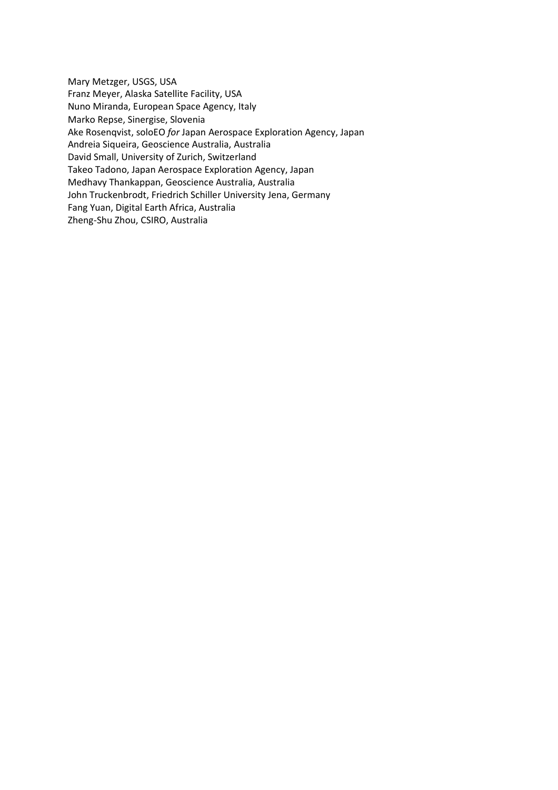Mary Metzger, USGS, USA Franz Meyer, Alaska Satellite Facility, USA Nuno Miranda, European Space Agency, Italy Marko Repse, Sinergise, Slovenia Ake Rosenqvist, soloEO *for* Japan Aerospace Exploration Agency, Japan Andreia Siqueira, Geoscience Australia, Australia David Small, University of Zurich, Switzerland Takeo Tadono, Japan Aerospace Exploration Agency, Japan Medhavy Thankappan, Geoscience Australia, Australia John Truckenbrodt, Friedrich Schiller University Jena, Germany Fang Yuan, Digital Earth Africa, Australia Zheng-Shu Zhou, CSIRO, Australia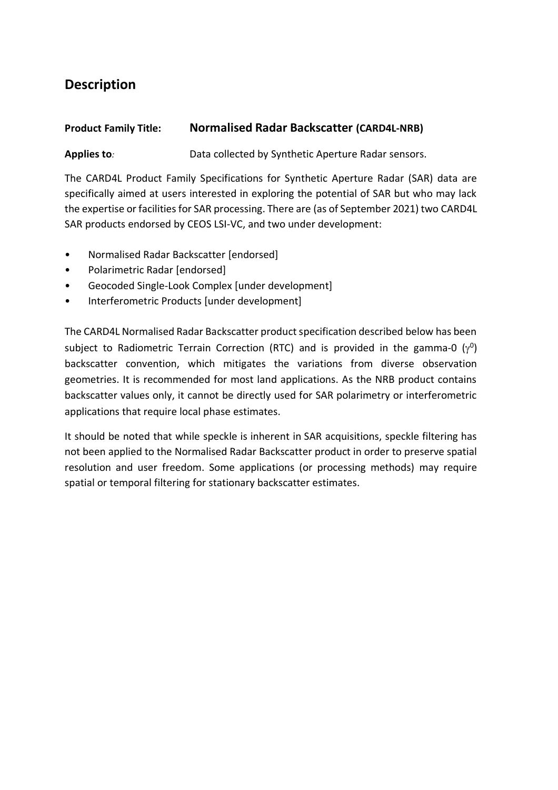# **Description**

### **Product Family Title: Normalised Radar Backscatter (CARD4L-NRB)**

**Applies to***:* Data collected by Synthetic Aperture Radar sensors.

The CARD4L Product Family Specifications for Synthetic Aperture Radar (SAR) data are specifically aimed at users interested in exploring the potential of SAR but who may lack the expertise or facilities for SAR processing. There are (as of September 2021) two CARD4L SAR products endorsed by CEOS LSI-VC, and two under development:

- Normalised Radar Backscatter [endorsed]
- Polarimetric Radar [endorsed]
- Geocoded Single-Look Complex [under development]
- Interferometric Products [under development]

The CARD4L Normalised Radar Backscatter product specification described below has been subject to Radiometric Terrain Correction (RTC) and is provided in the gamma-0  $(\gamma^0)$ backscatter convention, which mitigates the variations from diverse observation geometries. It is recommended for most land applications. As the NRB product contains backscatter values only, it cannot be directly used for SAR polarimetry or interferometric applications that require local phase estimates.

It should be noted that while speckle is inherent in SAR acquisitions, speckle filtering has not been applied to the Normalised Radar Backscatter product in order to preserve spatial resolution and user freedom. Some applications (or processing methods) may require spatial or temporal filtering for stationary backscatter estimates.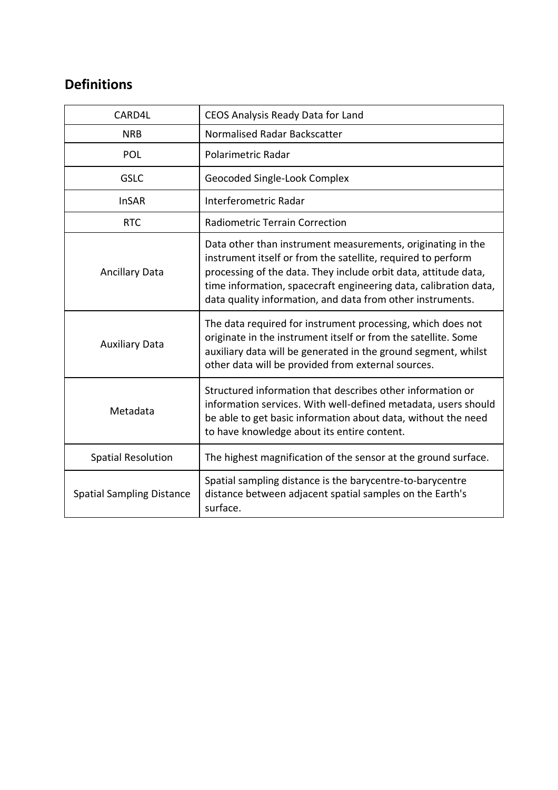# **Definitions**

| CARD4L                           | CEOS Analysis Ready Data for Land                                                                                                                                                                                                                                                                                                |
|----------------------------------|----------------------------------------------------------------------------------------------------------------------------------------------------------------------------------------------------------------------------------------------------------------------------------------------------------------------------------|
| <b>NRB</b>                       | Normalised Radar Backscatter                                                                                                                                                                                                                                                                                                     |
| POL                              | Polarimetric Radar                                                                                                                                                                                                                                                                                                               |
| <b>GSLC</b>                      | Geocoded Single-Look Complex                                                                                                                                                                                                                                                                                                     |
| <b>InSAR</b>                     | Interferometric Radar                                                                                                                                                                                                                                                                                                            |
| <b>RTC</b>                       | <b>Radiometric Terrain Correction</b>                                                                                                                                                                                                                                                                                            |
| <b>Ancillary Data</b>            | Data other than instrument measurements, originating in the<br>instrument itself or from the satellite, required to perform<br>processing of the data. They include orbit data, attitude data,<br>time information, spacecraft engineering data, calibration data,<br>data quality information, and data from other instruments. |
| <b>Auxiliary Data</b>            | The data required for instrument processing, which does not<br>originate in the instrument itself or from the satellite. Some<br>auxiliary data will be generated in the ground segment, whilst<br>other data will be provided from external sources.                                                                            |
| Metadata                         | Structured information that describes other information or<br>information services. With well-defined metadata, users should<br>be able to get basic information about data, without the need<br>to have knowledge about its entire content.                                                                                     |
| <b>Spatial Resolution</b>        | The highest magnification of the sensor at the ground surface.                                                                                                                                                                                                                                                                   |
| <b>Spatial Sampling Distance</b> | Spatial sampling distance is the barycentre-to-barycentre<br>distance between adjacent spatial samples on the Earth's<br>surface.                                                                                                                                                                                                |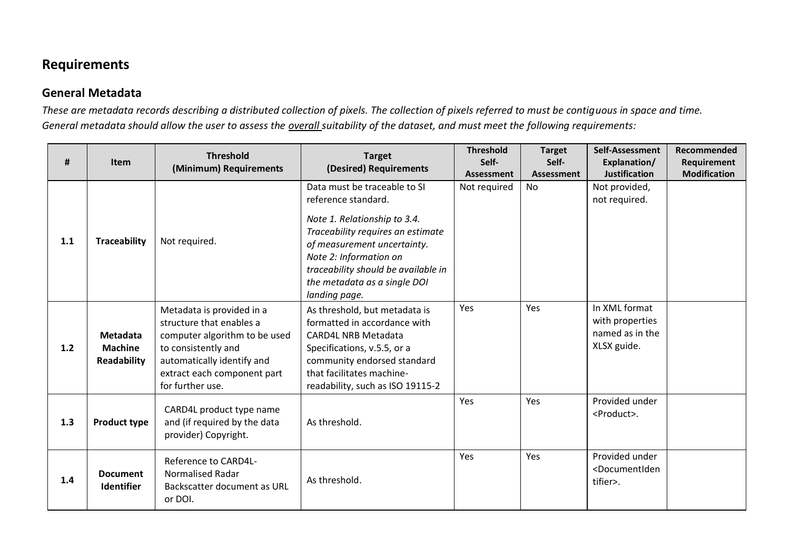# **Requirements**

#### **General Metadata**

*These are metadata records describing a distributed collection of pixels. The collection of pixels referred to must be contiguous in space and time. General metadata should allow the user to assess the overall suitability of the dataset, and must meet the following requirements:*

| #   | Item                                                    | <b>Threshold</b><br>(Minimum) Requirements                                                                                                                                                     | <b>Target</b><br>(Desired) Requirements                                                                                                                                                                                                                                   | <b>Threshold</b><br>Self-<br>Assessment | <b>Target</b><br>Self-<br>Assessment | Self-Assessment<br>Explanation/<br><b>Justification</b>            | Recommended<br>Requirement<br><b>Modification</b> |
|-----|---------------------------------------------------------|------------------------------------------------------------------------------------------------------------------------------------------------------------------------------------------------|---------------------------------------------------------------------------------------------------------------------------------------------------------------------------------------------------------------------------------------------------------------------------|-----------------------------------------|--------------------------------------|--------------------------------------------------------------------|---------------------------------------------------|
| 1.1 | <b>Traceability</b>                                     | Not required.                                                                                                                                                                                  | Data must be traceable to SI<br>reference standard.<br>Note 1. Relationship to 3.4.<br>Traceability requires an estimate<br>of measurement uncertainty.<br>Note 2: Information on<br>traceability should be available in<br>the metadata as a single DOI<br>landing page. | Not required                            | No                                   | Not provided,<br>not required.                                     |                                                   |
| 1.2 | <b>Metadata</b><br><b>Machine</b><br><b>Readability</b> | Metadata is provided in a<br>structure that enables a<br>computer algorithm to be used<br>to consistently and<br>automatically identify and<br>extract each component part<br>for further use. | As threshold, but metadata is<br>formatted in accordance with<br><b>CARD4L NRB Metadata</b><br>Specifications, v.5.5, or a<br>community endorsed standard<br>that facilitates machine-<br>readability, such as ISO 19115-2                                                | Yes                                     | Yes                                  | In XML format<br>with properties<br>named as in the<br>XLSX guide. |                                                   |
| 1.3 | <b>Product type</b>                                     | CARD4L product type name<br>and (if required by the data<br>provider) Copyright.                                                                                                               | As threshold.                                                                                                                                                                                                                                                             | Yes                                     | Yes                                  | Provided under<br><product>.</product>                             |                                                   |
| 1.4 | <b>Document</b><br><b>Identifier</b>                    | Reference to CARD4L-<br><b>Normalised Radar</b><br>Backscatter document as URL<br>or DOI.                                                                                                      | As threshold.                                                                                                                                                                                                                                                             | Yes                                     | Yes                                  | Provided under<br><documentiden<br>tifier&gt;.</documentiden<br>   |                                                   |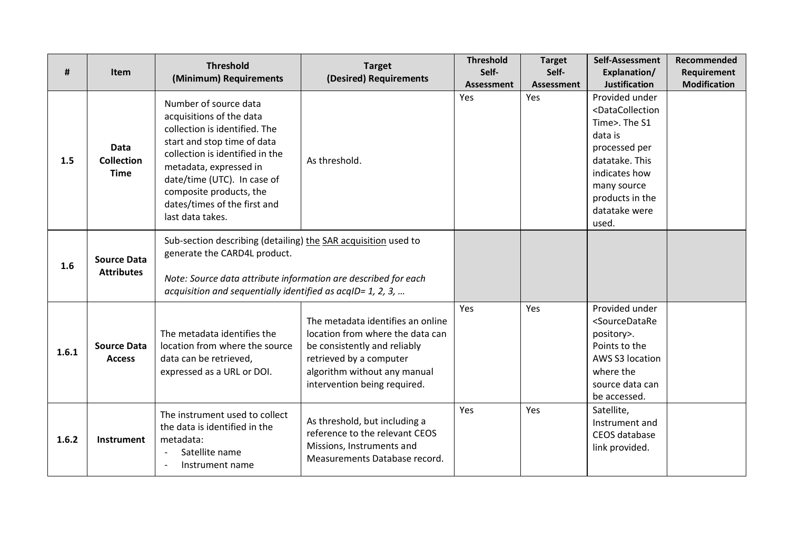| #     | <b>Item</b>                                     | <b>Threshold</b><br>(Minimum) Requirements                                                                                                                                                                                                                                                   | <b>Target</b><br>(Desired) Requirements                                                                                                                                                          | <b>Threshold</b><br>Self-<br><b>Assessment</b> | <b>Target</b><br>Self-<br><b>Assessment</b> | Self-Assessment<br>Explanation/<br><b>Justification</b>                                                                                                                                                      | Recommended<br>Requirement<br><b>Modification</b> |
|-------|-------------------------------------------------|----------------------------------------------------------------------------------------------------------------------------------------------------------------------------------------------------------------------------------------------------------------------------------------------|--------------------------------------------------------------------------------------------------------------------------------------------------------------------------------------------------|------------------------------------------------|---------------------------------------------|--------------------------------------------------------------------------------------------------------------------------------------------------------------------------------------------------------------|---------------------------------------------------|
| 1.5   | <b>Data</b><br><b>Collection</b><br><b>Time</b> | Number of source data<br>acquisitions of the data<br>collection is identified. The<br>start and stop time of data<br>collection is identified in the<br>metadata, expressed in<br>date/time (UTC). In case of<br>composite products, the<br>dates/times of the first and<br>last data takes. | As threshold.                                                                                                                                                                                    | Yes                                            | Yes                                         | Provided under<br><datacollection<br>Time&gt;. The S1<br/>data is<br/>processed per<br/>datatake. This<br/>indicates how<br/>many source<br/>products in the<br/>datatake were<br/>used.</datacollection<br> |                                                   |
| 1.6   | <b>Source Data</b><br><b>Attributes</b>         | Sub-section describing (detailing) the SAR acquisition used to<br>generate the CARD4L product.<br>Note: Source data attribute information are described for each<br>acquisition and sequentially identified as $acqID = 1, 2, 3, $                                                           |                                                                                                                                                                                                  |                                                |                                             |                                                                                                                                                                                                              |                                                   |
| 1.6.1 | <b>Source Data</b><br><b>Access</b>             | The metadata identifies the<br>location from where the source<br>data can be retrieved,<br>expressed as a URL or DOI.                                                                                                                                                                        | The metadata identifies an online<br>location from where the data can<br>be consistently and reliably<br>retrieved by a computer<br>algorithm without any manual<br>intervention being required. | Yes                                            | Yes                                         | Provided under<br><sourcedatare<br>pository&gt;.<br/>Points to the<br/>AWS S3 location<br/>where the<br/>source data can<br/>be accessed.</sourcedatare<br>                                                  |                                                   |
| 1.6.2 | Instrument                                      | The instrument used to collect<br>the data is identified in the<br>metadata:<br>Satellite name<br>$\overline{\phantom{a}}$<br>Instrument name                                                                                                                                                | As threshold, but including a<br>reference to the relevant CEOS<br>Missions, Instruments and<br>Measurements Database record.                                                                    | Yes                                            | Yes                                         | Satellite,<br>Instrument and<br>CEOS database<br>link provided.                                                                                                                                              |                                                   |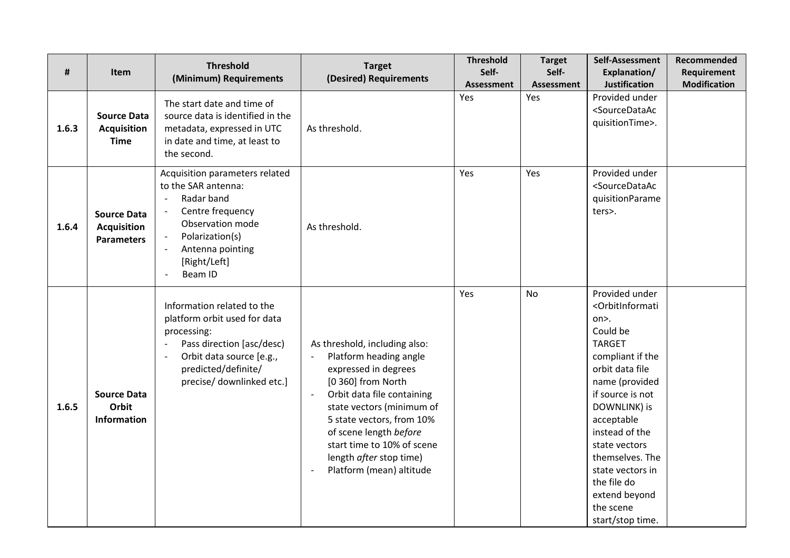|       |                                                               | <b>Threshold</b>                                                                                                                                                                       | <b>Target</b>                                                                                                                                                                                                                                                                                                                            | <b>Threshold</b>  | <b>Target</b> | Self-Assessment                                                                                                                                                                                                                                                                                                                                                     | Recommended         |
|-------|---------------------------------------------------------------|----------------------------------------------------------------------------------------------------------------------------------------------------------------------------------------|------------------------------------------------------------------------------------------------------------------------------------------------------------------------------------------------------------------------------------------------------------------------------------------------------------------------------------------|-------------------|---------------|---------------------------------------------------------------------------------------------------------------------------------------------------------------------------------------------------------------------------------------------------------------------------------------------------------------------------------------------------------------------|---------------------|
| #     | <b>Item</b>                                                   | (Minimum) Requirements                                                                                                                                                                 | (Desired) Requirements                                                                                                                                                                                                                                                                                                                   | Self-             | Self-         | Explanation/                                                                                                                                                                                                                                                                                                                                                        | Requirement         |
|       |                                                               |                                                                                                                                                                                        |                                                                                                                                                                                                                                                                                                                                          | <b>Assessment</b> | Assessment    | <b>Justification</b>                                                                                                                                                                                                                                                                                                                                                | <b>Modification</b> |
| 1.6.3 | <b>Source Data</b><br><b>Acquisition</b><br><b>Time</b>       | The start date and time of<br>source data is identified in the<br>metadata, expressed in UTC<br>in date and time, at least to<br>the second.                                           | As threshold.                                                                                                                                                                                                                                                                                                                            | Yes               | Yes           | Provided under<br><sourcedataac<br>quisitionTime&gt;.</sourcedataac<br>                                                                                                                                                                                                                                                                                             |                     |
| 1.6.4 | <b>Source Data</b><br><b>Acquisition</b><br><b>Parameters</b> | Acquisition parameters related<br>to the SAR antenna:<br>Radar band<br>Centre frequency<br>Observation mode<br>Polarization(s)<br>Antenna pointing<br>[Right/Left]<br>Beam ID          | As threshold.                                                                                                                                                                                                                                                                                                                            | Yes               | Yes           | Provided under<br><sourcedataac<br>quisitionParame<br/>ters&gt;.</sourcedataac<br>                                                                                                                                                                                                                                                                                  |                     |
| 1.6.5 | <b>Source Data</b><br>Orbit<br>Information                    | Information related to the<br>platform orbit used for data<br>processing:<br>Pass direction [asc/desc)<br>Orbit data source [e.g.,<br>predicted/definite/<br>precise/ downlinked etc.] | As threshold, including also:<br>Platform heading angle<br>expressed in degrees<br>[0 360] from North<br>Orbit data file containing<br>$\overline{\phantom{a}}$<br>state vectors (minimum of<br>5 state vectors, from 10%<br>of scene length before<br>start time to 10% of scene<br>length after stop time)<br>Platform (mean) altitude | Yes               | <b>No</b>     | Provided under<br><orbitinformati<br>on&gt;.<br/>Could be<br/><b>TARGET</b><br/>compliant if the<br/>orbit data file<br/>name (provided<br/>if source is not<br/>DOWNLINK) is<br/>acceptable<br/>instead of the<br/>state vectors<br/>themselves. The<br/>state vectors in<br/>the file do<br/>extend beyond<br/>the scene<br/>start/stop time.</orbitinformati<br> |                     |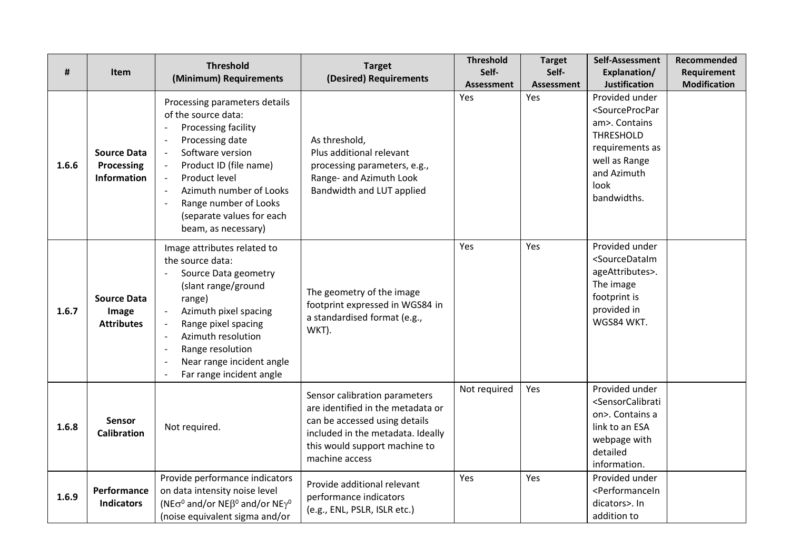| #     | Item                                                   | <b>Threshold</b><br>(Minimum) Requirements                                                                                                                                                                                                                                                        | <b>Target</b><br>(Desired) Requirements                                                                                                                                                     | <b>Threshold</b><br>Self-<br><b>Assessment</b> | <b>Target</b><br>Self-<br><b>Assessment</b> | Self-Assessment<br>Explanation/<br><b>Justification</b>                                                                                                                     | Recommended<br><b>Requirement</b><br><b>Modification</b> |
|-------|--------------------------------------------------------|---------------------------------------------------------------------------------------------------------------------------------------------------------------------------------------------------------------------------------------------------------------------------------------------------|---------------------------------------------------------------------------------------------------------------------------------------------------------------------------------------------|------------------------------------------------|---------------------------------------------|-----------------------------------------------------------------------------------------------------------------------------------------------------------------------------|----------------------------------------------------------|
| 1.6.6 | <b>Source Data</b><br>Processing<br><b>Information</b> | Processing parameters details<br>of the source data:<br>Processing facility<br>Processing date<br>Software version<br>$\overline{\phantom{a}}$<br>Product ID (file name)<br>Product level<br>Azimuth number of Looks<br>Range number of Looks<br>(separate values for each<br>beam, as necessary) | As threshold,<br>Plus additional relevant<br>processing parameters, e.g.,<br>Range- and Azimuth Look<br>Bandwidth and LUT applied                                                           | Yes                                            | Yes                                         | Provided under<br><sourceprocpar<br>am&gt;. Contains<br/><b>THRESHOLD</b><br/>requirements as<br/>well as Range<br/>and Azimuth<br/>look<br/>bandwidths.</sourceprocpar<br> |                                                          |
| 1.6.7 | <b>Source Data</b><br>Image<br><b>Attributes</b>       | Image attributes related to<br>the source data:<br>Source Data geometry<br>(slant range/ground<br>range)<br>Azimuth pixel spacing<br>Range pixel spacing<br>Azimuth resolution<br>Range resolution<br>Near range incident angle<br>Far range incident angle                                       | The geometry of the image<br>footprint expressed in WGS84 in<br>a standardised format (e.g.,<br>WKT).                                                                                       | Yes                                            | Yes                                         | Provided under<br><sourcedataim<br>ageAttributes&gt;.<br/>The image<br/>footprint is<br/>provided in<br/>WGS84 WKT.</sourcedataim<br>                                       |                                                          |
| 1.6.8 | Sensor<br><b>Calibration</b>                           | Not required.                                                                                                                                                                                                                                                                                     | Sensor calibration parameters<br>are identified in the metadata or<br>can be accessed using details<br>included in the metadata. Ideally<br>this would support machine to<br>machine access | Not required                                   | Yes                                         | Provided under<br><sensorcalibrati<br>on&gt;. Contains a<br/>link to an ESA<br/>webpage with<br/>detailed<br/>information.</sensorcalibrati<br>                             |                                                          |
| 1.6.9 | Performance<br><b>Indicators</b>                       | Provide performance indicators<br>on data intensity noise level<br>(NE $\sigma^0$ and/or NE $\beta^0$ and/or NE $\gamma^0$<br>(noise equivalent sigma and/or                                                                                                                                      | Provide additional relevant<br>performance indicators<br>(e.g., ENL, PSLR, ISLR etc.)                                                                                                       | Yes                                            | Yes                                         | Provided under<br><performancein<br>dicators&gt;. In<br/>addition to</performancein<br>                                                                                     |                                                          |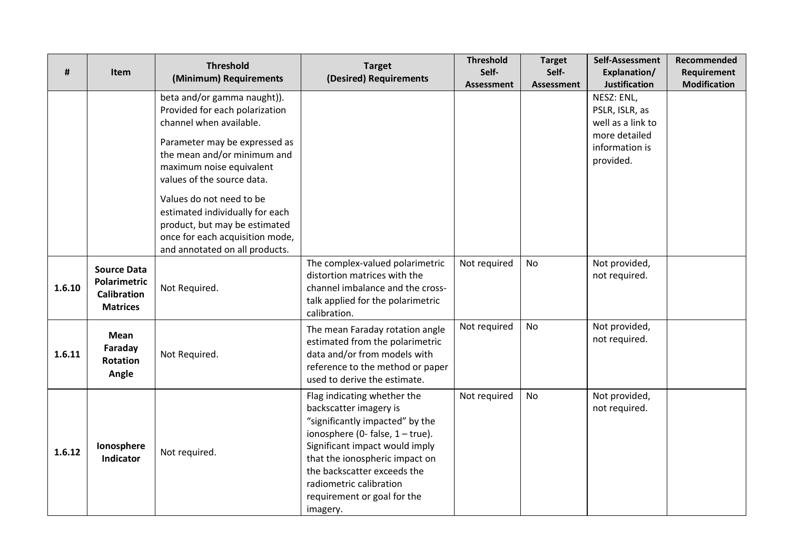| #      | Item                                                                               | <b>Threshold</b><br>(Minimum) Requirements                                                                                                                                                                                                                                                                                                                                              | <b>Target</b><br>(Desired) Requirements                                                                                                                                                                                                                                                                  | <b>Threshold</b><br>Self- | <b>Target</b><br>Self- | Self-Assessment<br>Explanation/                                                                                           | Recommended<br>Requirement |
|--------|------------------------------------------------------------------------------------|-----------------------------------------------------------------------------------------------------------------------------------------------------------------------------------------------------------------------------------------------------------------------------------------------------------------------------------------------------------------------------------------|----------------------------------------------------------------------------------------------------------------------------------------------------------------------------------------------------------------------------------------------------------------------------------------------------------|---------------------------|------------------------|---------------------------------------------------------------------------------------------------------------------------|----------------------------|
|        |                                                                                    | beta and/or gamma naught)).<br>Provided for each polarization<br>channel when available.<br>Parameter may be expressed as<br>the mean and/or minimum and<br>maximum noise equivalent<br>values of the source data.<br>Values do not need to be<br>estimated individually for each<br>product, but may be estimated<br>once for each acquisition mode,<br>and annotated on all products. |                                                                                                                                                                                                                                                                                                          | <b>Assessment</b>         | <b>Assessment</b>      | <b>Justification</b><br>NESZ: ENL,<br>PSLR, ISLR, as<br>well as a link to<br>more detailed<br>information is<br>provided. | <b>Modification</b>        |
| 1.6.10 | <b>Source Data</b><br><b>Polarimetric</b><br><b>Calibration</b><br><b>Matrices</b> | Not Required.                                                                                                                                                                                                                                                                                                                                                                           | The complex-valued polarimetric<br>distortion matrices with the<br>channel imbalance and the cross-<br>talk applied for the polarimetric<br>calibration.                                                                                                                                                 | Not required              | No                     | Not provided,<br>not required.                                                                                            |                            |
| 1.6.11 | <b>Mean</b><br>Faraday<br><b>Rotation</b><br>Angle                                 | Not Required.                                                                                                                                                                                                                                                                                                                                                                           | The mean Faraday rotation angle<br>estimated from the polarimetric<br>data and/or from models with<br>reference to the method or paper<br>used to derive the estimate.                                                                                                                                   | Not required              | No                     | Not provided,<br>not required.                                                                                            |                            |
| 1.6.12 | Ionosphere<br>Indicator                                                            | Not required.                                                                                                                                                                                                                                                                                                                                                                           | Flag indicating whether the<br>backscatter imagery is<br>"significantly impacted" by the<br>ionosphere (0- false, $1 - true$ ).<br>Significant impact would imply<br>that the ionospheric impact on<br>the backscatter exceeds the<br>radiometric calibration<br>requirement or goal for the<br>imagery. | Not required              | <b>No</b>              | Not provided,<br>not required.                                                                                            |                            |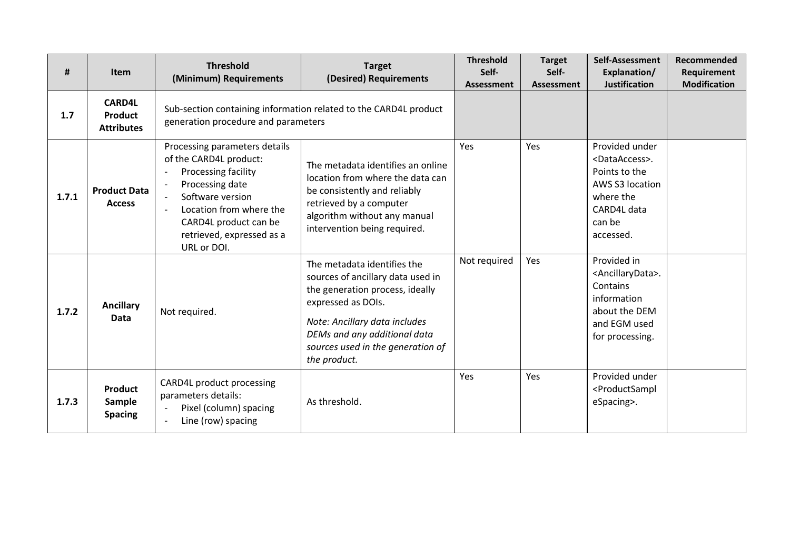| #     | <b>Item</b>                                          | <b>Threshold</b><br>(Minimum) Requirements                                                                                                                                                                            | <b>Target</b><br>(Desired) Requirements                                                                                                                                                                                                         | <b>Threshold</b><br>Self-<br><b>Assessment</b> | <b>Target</b><br>Self-<br><b>Assessment</b> | Self-Assessment<br>Explanation/<br><b>Justification</b>                                                                                   | Recommended<br>Requirement<br><b>Modification</b> |
|-------|------------------------------------------------------|-----------------------------------------------------------------------------------------------------------------------------------------------------------------------------------------------------------------------|-------------------------------------------------------------------------------------------------------------------------------------------------------------------------------------------------------------------------------------------------|------------------------------------------------|---------------------------------------------|-------------------------------------------------------------------------------------------------------------------------------------------|---------------------------------------------------|
| 1.7   | <b>CARD4L</b><br><b>Product</b><br><b>Attributes</b> | generation procedure and parameters                                                                                                                                                                                   | Sub-section containing information related to the CARD4L product                                                                                                                                                                                |                                                |                                             |                                                                                                                                           |                                                   |
| 1.7.1 | <b>Product Data</b><br><b>Access</b>                 | Processing parameters details<br>of the CARD4L product:<br>Processing facility<br>Processing date<br>Software version<br>Location from where the<br>CARD4L product can be<br>retrieved, expressed as a<br>URL or DOI. | The metadata identifies an online<br>location from where the data can<br>be consistently and reliably<br>retrieved by a computer<br>algorithm without any manual<br>intervention being required.                                                | Yes                                            | Yes                                         | Provided under<br><dataaccess>.<br/>Points to the<br/>AWS S3 location<br/>where the<br/>CARD4L data<br/>can be<br/>accessed.</dataaccess> |                                                   |
| 1.7.2 | <b>Ancillary</b><br>Data                             | Not required.                                                                                                                                                                                                         | The metadata identifies the<br>sources of ancillary data used in<br>the generation process, ideally<br>expressed as DOIs.<br>Note: Ancillary data includes<br>DEMs and any additional data<br>sources used in the generation of<br>the product. | Not required                                   | Yes                                         | Provided in<br><ancillarydata>.<br/>Contains<br/>information<br/>about the DEM<br/>and EGM used<br/>for processing.</ancillarydata>       |                                                   |
| 1.7.3 | <b>Product</b><br><b>Sample</b><br><b>Spacing</b>    | CARD4L product processing<br>parameters details:<br>Pixel (column) spacing<br>Line (row) spacing                                                                                                                      | As threshold.                                                                                                                                                                                                                                   | Yes                                            | Yes                                         | Provided under<br><productsampl<br>eSpacing&gt;.</productsampl<br>                                                                        |                                                   |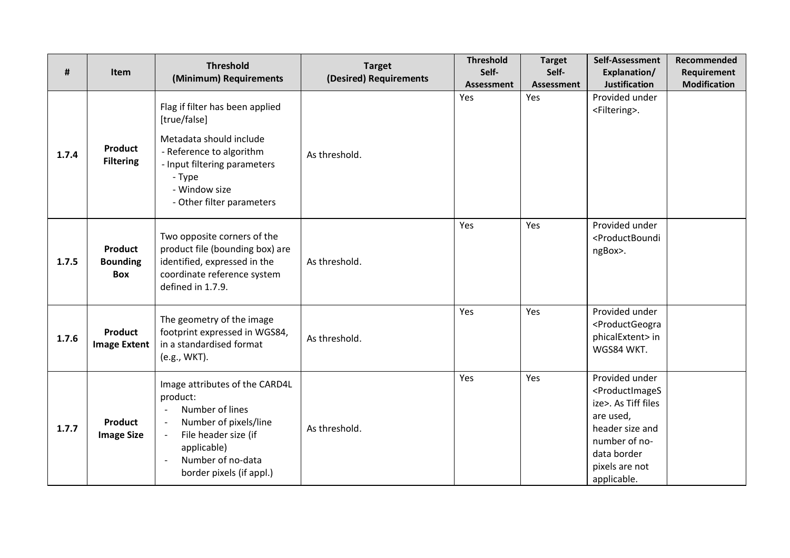| #     | Item                                            | <b>Threshold</b><br>(Minimum) Requirements                                                                                                                                                     | <b>Target</b><br>(Desired) Requirements | <b>Threshold</b><br>Self-<br><b>Assessment</b> | <b>Target</b><br>Self-<br>Assessment | Self-Assessment<br>Explanation/<br><b>Justification</b>                                                                                                                              | Recommended<br>Requirement<br><b>Modification</b> |
|-------|-------------------------------------------------|------------------------------------------------------------------------------------------------------------------------------------------------------------------------------------------------|-----------------------------------------|------------------------------------------------|--------------------------------------|--------------------------------------------------------------------------------------------------------------------------------------------------------------------------------------|---------------------------------------------------|
| 1.7.4 | <b>Product</b><br><b>Filtering</b>              | Flag if filter has been applied<br>[true/false]<br>Metadata should include<br>- Reference to algorithm<br>- Input filtering parameters<br>- Type<br>- Window size<br>- Other filter parameters | As threshold.                           | Yes                                            | Yes                                  | Provided under<br><filtering>.</filtering>                                                                                                                                           |                                                   |
| 1.7.5 | <b>Product</b><br><b>Bounding</b><br><b>Box</b> | Two opposite corners of the<br>product file (bounding box) are<br>identified, expressed in the<br>coordinate reference system<br>defined in 1.7.9.                                             | As threshold.                           | Yes                                            | Yes                                  | Provided under<br><productboundi<br>ngBox&gt;.</productboundi<br>                                                                                                                    |                                                   |
| 1.7.6 | <b>Product</b><br><b>Image Extent</b>           | The geometry of the image<br>footprint expressed in WGS84,<br>in a standardised format<br>(e.g., WKT).                                                                                         | As threshold.                           | Yes                                            | Yes                                  | Provided under<br><productgeogra<br>phicalExtent&gt; in<br/>WGS84 WKT.</productgeogra<br>                                                                                            |                                                   |
| 1.7.7 | <b>Product</b><br><b>Image Size</b>             | Image attributes of the CARD4L<br>product:<br>Number of lines<br>$\sim$<br>Number of pixels/line<br>File header size (if<br>applicable)<br>Number of no-data<br>border pixels (if appl.)       | As threshold.                           | Yes                                            | Yes                                  | Provided under<br><productimages<br>ize&gt;. As Tiff files<br/>are used,<br/>header size and<br/>number of no-<br/>data border<br/>pixels are not<br/>applicable.</productimages<br> |                                                   |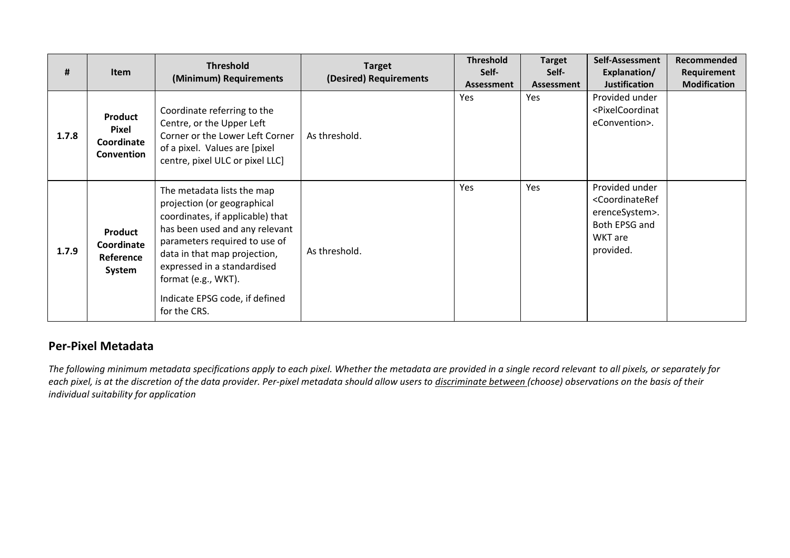| #     | Item                                                | <b>Threshold</b><br>(Minimum) Requirements                                                                                                                                                                                                                                                               | <b>Target</b><br>(Desired) Requirements | <b>Threshold</b><br>Self-<br><b>Assessment</b> | <b>Target</b><br>Self-<br><b>Assessment</b> | Self-Assessment<br>Explanation/<br><b>Justification</b>                                                              | <b>Recommended</b><br>Requirement<br><b>Modification</b> |
|-------|-----------------------------------------------------|----------------------------------------------------------------------------------------------------------------------------------------------------------------------------------------------------------------------------------------------------------------------------------------------------------|-----------------------------------------|------------------------------------------------|---------------------------------------------|----------------------------------------------------------------------------------------------------------------------|----------------------------------------------------------|
| 1.7.8 | Product<br><b>Pixel</b><br>Coordinate<br>Convention | Coordinate referring to the<br>Centre, or the Upper Left<br>Corner or the Lower Left Corner<br>of a pixel. Values are [pixel]<br>centre, pixel ULC or pixel LLC]                                                                                                                                         | As threshold.                           | <b>Yes</b>                                     | Yes                                         | Provided under<br><pixelcoordinat<br>eConvention&gt;.</pixelcoordinat<br>                                            |                                                          |
| 1.7.9 | Product<br>Coordinate<br>Reference<br>System        | The metadata lists the map<br>projection (or geographical<br>coordinates, if applicable) that<br>has been used and any relevant<br>parameters required to use of<br>data in that map projection,<br>expressed in a standardised<br>format (e.g., WKT).<br>Indicate EPSG code, if defined<br>for the CRS. | As threshold.                           | Yes                                            | Yes                                         | Provided under<br><coordinateref<br>erenceSystem&gt;.<br/>Both EPSG and<br/>WKT are<br/>provided.</coordinateref<br> |                                                          |

### **Per-Pixel Metadata**

*The following minimum metadata specifications apply to each pixel. Whether the metadata are provided in a single record relevant to all pixels, or separately for each pixel, is at the discretion of the data provider. Per-pixel metadata should allow users to discriminate between (choose) observations on the basis of their individual suitability for application*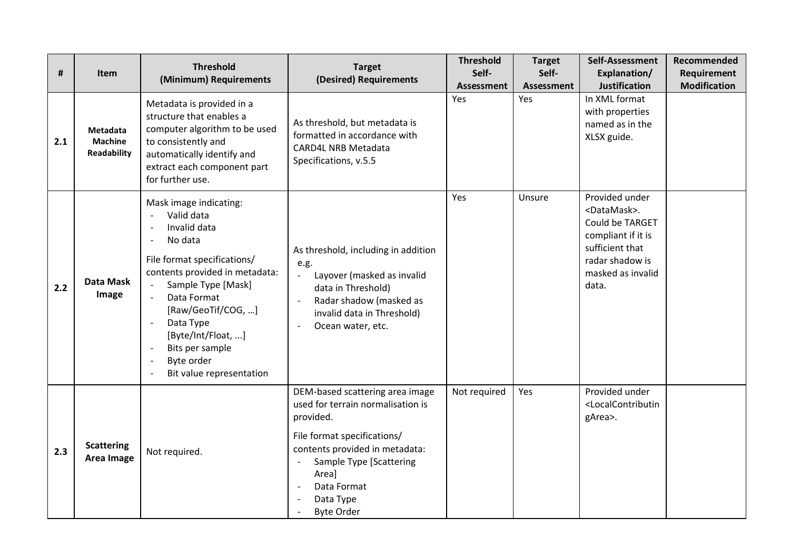| #   | <b>Item</b>                                             | <b>Threshold</b><br>(Minimum) Requirements                                                                                                                                                                                                                                                                                                                                                                                              | <b>Target</b><br>(Desired) Requirements                                                                                                                                                                                                 | <b>Threshold</b><br>Self-<br><b>Assessment</b> | <b>Target</b><br>Self-<br><b>Assessment</b> | Self-Assessment<br>Explanation/<br><b>Justification</b>                                                                                                     | Recommended<br>Requirement<br><b>Modification</b> |
|-----|---------------------------------------------------------|-----------------------------------------------------------------------------------------------------------------------------------------------------------------------------------------------------------------------------------------------------------------------------------------------------------------------------------------------------------------------------------------------------------------------------------------|-----------------------------------------------------------------------------------------------------------------------------------------------------------------------------------------------------------------------------------------|------------------------------------------------|---------------------------------------------|-------------------------------------------------------------------------------------------------------------------------------------------------------------|---------------------------------------------------|
| 2.1 | <b>Metadata</b><br><b>Machine</b><br><b>Readability</b> | Metadata is provided in a<br>structure that enables a<br>computer algorithm to be used<br>to consistently and<br>automatically identify and<br>extract each component part<br>for further use.                                                                                                                                                                                                                                          | As threshold, but metadata is<br>formatted in accordance with<br><b>CARD4L NRB Metadata</b><br>Specifications, v.5.5                                                                                                                    | Yes                                            | Yes                                         | In XML format<br>with properties<br>named as in the<br>XLSX guide.                                                                                          |                                                   |
| 2.2 | Data Mask<br>Image                                      | Mask image indicating:<br>Valid data<br>Invalid data<br>No data<br>$\overline{\phantom{a}}$<br>File format specifications/<br>contents provided in metadata:<br>Sample Type [Mask]<br>$\overline{\phantom{a}}$<br>Data Format<br>[Raw/GeoTif/COG, ]<br>Data Type<br>$\overline{\phantom{a}}$<br>[Byte/Int/Float, ]<br>Bits per sample<br>$\overline{\phantom{a}}$<br>Byte order<br>$\overline{\phantom{a}}$<br>Bit value representation | As threshold, including in addition<br>e.g.<br>Layover (masked as invalid<br>data in Threshold)<br>Radar shadow (masked as<br>invalid data in Threshold)<br>Ocean water, etc.                                                           | Yes                                            | Unsure                                      | Provided under<br><datamask>.<br/>Could be TARGET<br/>compliant if it is<br/>sufficient that<br/>radar shadow is<br/>masked as invalid<br/>data.</datamask> |                                                   |
| 2.3 | <b>Scattering</b><br>Area Image                         | Not required.                                                                                                                                                                                                                                                                                                                                                                                                                           | DEM-based scattering area image<br>used for terrain normalisation is<br>provided.<br>File format specifications/<br>contents provided in metadata:<br>Sample Type [Scattering<br>Area]<br>Data Format<br>Data Type<br><b>Byte Order</b> | Not required                                   | Yes                                         | Provided under<br><localcontributin<br>gArea&gt;.</localcontributin<br>                                                                                     |                                                   |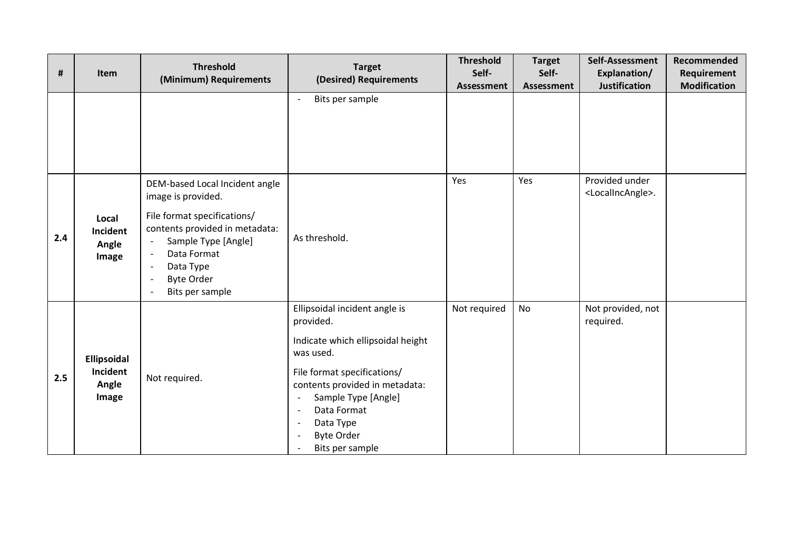| #   | Item                                      | <b>Threshold</b><br>(Minimum) Requirements                                                                                                                                                                                                   | <b>Target</b><br>(Desired) Requirements                                                                                                                                                                                                                                              | <b>Threshold</b><br>Self- | <b>Target</b><br>Self- | Self-Assessment<br>Explanation/<br><b>Justification</b> | Recommended<br>Requirement<br><b>Modification</b> |
|-----|-------------------------------------------|----------------------------------------------------------------------------------------------------------------------------------------------------------------------------------------------------------------------------------------------|--------------------------------------------------------------------------------------------------------------------------------------------------------------------------------------------------------------------------------------------------------------------------------------|---------------------------|------------------------|---------------------------------------------------------|---------------------------------------------------|
|     |                                           |                                                                                                                                                                                                                                              | Bits per sample<br>$\overline{\phantom{a}}$                                                                                                                                                                                                                                          | Assessment                | <b>Assessment</b>      |                                                         |                                                   |
| 2.4 | Local<br>Incident<br>Angle<br>Image       | DEM-based Local Incident angle<br>image is provided.<br>File format specifications/<br>contents provided in metadata:<br>Sample Type [Angle]<br>Data Format<br>Data Type<br>$\overline{\phantom{a}}$<br><b>Byte Order</b><br>Bits per sample | As threshold.                                                                                                                                                                                                                                                                        | Yes                       | Yes                    | Provided under<br><localincangle>.</localincangle>      |                                                   |
| 2.5 | Ellipsoidal<br>Incident<br>Angle<br>Image | Not required.                                                                                                                                                                                                                                | Ellipsoidal incident angle is<br>provided.<br>Indicate which ellipsoidal height<br>was used.<br>File format specifications/<br>contents provided in metadata:<br>Sample Type [Angle]<br>$\overline{\phantom{a}}$<br>Data Format<br>Data Type<br><b>Byte Order</b><br>Bits per sample | Not required              | <b>No</b>              | Not provided, not<br>required.                          |                                                   |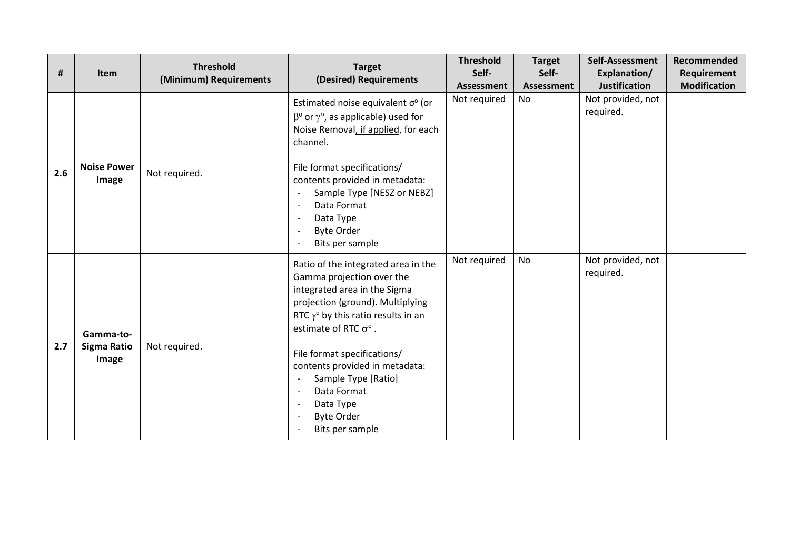| #   | <b>Item</b>                       | <b>Threshold</b><br>(Minimum) Requirements | <b>Target</b><br>(Desired) Requirements                                                                                                                                                                                                                                                                                                                                                  | <b>Threshold</b><br>Self-<br>Assessment | <b>Target</b><br>Self-<br>Assessment | Self-Assessment<br>Explanation/<br><b>Justification</b> | Recommended<br>Requirement<br><b>Modification</b> |
|-----|-----------------------------------|--------------------------------------------|------------------------------------------------------------------------------------------------------------------------------------------------------------------------------------------------------------------------------------------------------------------------------------------------------------------------------------------------------------------------------------------|-----------------------------------------|--------------------------------------|---------------------------------------------------------|---------------------------------------------------|
| 2.6 | <b>Noise Power</b><br>Image       | Not required.                              | Estimated noise equivalent $\sigma$ <sup>o</sup> (or<br>$\beta^0$ or $\gamma^0$ , as applicable) used for<br>Noise Removal, if applied, for each<br>channel.<br>File format specifications/<br>contents provided in metadata:<br>Sample Type [NESZ or NEBZ]<br>Data Format<br>Data Type<br><b>Byte Order</b><br>Bits per sample                                                          | Not required                            | No                                   | Not provided, not<br>required.                          |                                                   |
| 2.7 | Gamma-to-<br>Sigma Ratio<br>Image | Not required.                              | Ratio of the integrated area in the<br>Gamma projection over the<br>integrated area in the Sigma<br>projection (ground). Multiplying<br>RTC $\gamma$ <sup>o</sup> by this ratio results in an<br>estimate of RTC $\sigma$ °.<br>File format specifications/<br>contents provided in metadata:<br>Sample Type [Ratio]<br>Data Format<br>Data Type<br><b>Byte Order</b><br>Bits per sample | Not required                            | <b>No</b>                            | Not provided, not<br>required.                          |                                                   |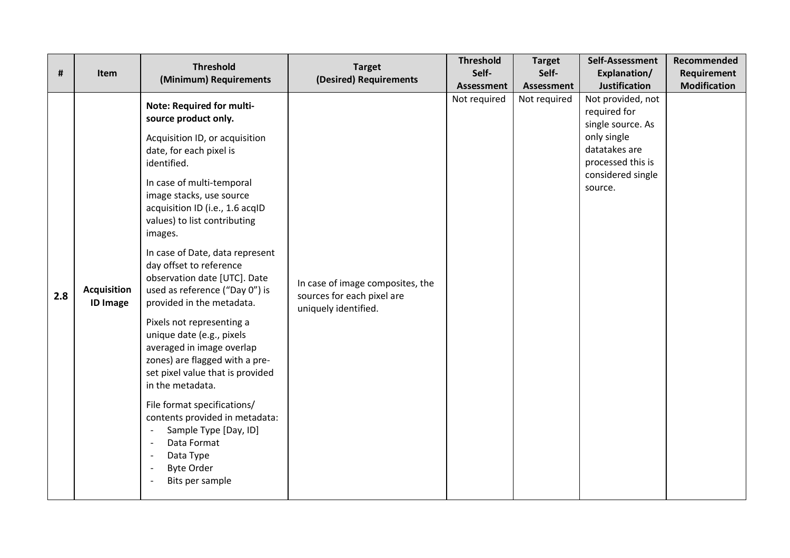| #   | Item                                  | <b>Threshold</b><br>(Minimum) Requirements                                                                                                                                                                                                                                                                                                                                                                                                                                                                                                                                                                                                                                                                                                                                       | <b>Target</b><br>(Desired) Requirements                                                | <b>Threshold</b><br>Self-<br><b>Assessment</b> | <b>Target</b><br>Self-<br><b>Assessment</b> | Self-Assessment<br>Explanation/<br><b>Justification</b>                                                                                     | Recommended<br>Requirement<br><b>Modification</b> |
|-----|---------------------------------------|----------------------------------------------------------------------------------------------------------------------------------------------------------------------------------------------------------------------------------------------------------------------------------------------------------------------------------------------------------------------------------------------------------------------------------------------------------------------------------------------------------------------------------------------------------------------------------------------------------------------------------------------------------------------------------------------------------------------------------------------------------------------------------|----------------------------------------------------------------------------------------|------------------------------------------------|---------------------------------------------|---------------------------------------------------------------------------------------------------------------------------------------------|---------------------------------------------------|
| 2.8 | <b>Acquisition</b><br><b>ID Image</b> | Note: Required for multi-<br>source product only.<br>Acquisition ID, or acquisition<br>date, for each pixel is<br>identified.<br>In case of multi-temporal<br>image stacks, use source<br>acquisition ID (i.e., 1.6 acqID<br>values) to list contributing<br>images.<br>In case of Date, data represent<br>day offset to reference<br>observation date [UTC]. Date<br>used as reference ("Day 0") is<br>provided in the metadata.<br>Pixels not representing a<br>unique date (e.g., pixels<br>averaged in image overlap<br>zones) are flagged with a pre-<br>set pixel value that is provided<br>in the metadata.<br>File format specifications/<br>contents provided in metadata:<br>Sample Type [Day, ID]<br>Data Format<br>Data Type<br><b>Byte Order</b><br>Bits per sample | In case of image composites, the<br>sources for each pixel are<br>uniquely identified. | Not required                                   | Not required                                | Not provided, not<br>required for<br>single source. As<br>only single<br>datatakes are<br>processed this is<br>considered single<br>source. |                                                   |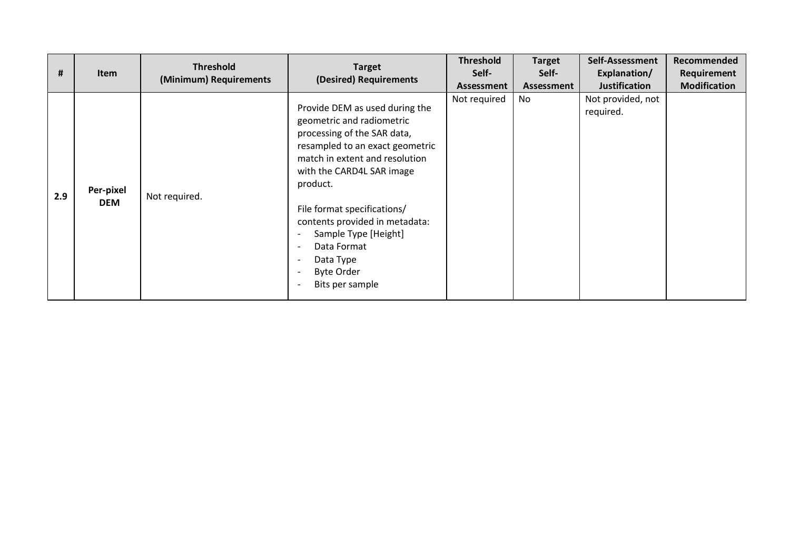| #   | <b>Item</b>             | <b>Threshold</b><br>(Minimum) Requirements | <b>Target</b><br>(Desired) Requirements                                                                                                                                                                                                                                                                                                                               | <b>Threshold</b><br>Self-<br>Assessment | <b>Target</b><br>Self-<br>Assessment | Self-Assessment<br>Explanation/<br><b>Justification</b> | Recommended<br>Requirement<br><b>Modification</b> |
|-----|-------------------------|--------------------------------------------|-----------------------------------------------------------------------------------------------------------------------------------------------------------------------------------------------------------------------------------------------------------------------------------------------------------------------------------------------------------------------|-----------------------------------------|--------------------------------------|---------------------------------------------------------|---------------------------------------------------|
| 2.9 | Per-pixel<br><b>DEM</b> | Not required.                              | Provide DEM as used during the<br>geometric and radiometric<br>processing of the SAR data,<br>resampled to an exact geometric<br>match in extent and resolution<br>with the CARD4L SAR image<br>product.<br>File format specifications/<br>contents provided in metadata:<br>Sample Type [Height]<br>Data Format<br>Data Type<br><b>Byte Order</b><br>Bits per sample | Not required                            | No                                   | Not provided, not<br>required.                          |                                                   |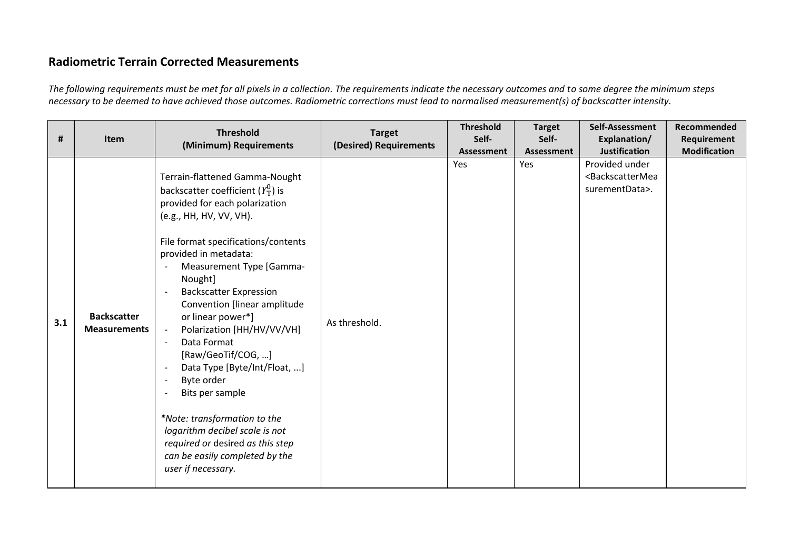## **Radiometric Terrain Corrected Measurements**

*The following requirements must be met for all pixels in a collection. The requirements indicate the necessary outcomes and to some degree the minimum steps necessary to be deemed to have achieved those outcomes. Radiometric corrections must lead to normalised measurement(s) of backscatter intensity.*

| #   | Item                                      | <b>Threshold</b><br>(Minimum) Requirements                                                                                                                                                                                                                                                                                                                                                                                                                                                                                                                                                                                                                                                           | <b>Target</b><br>(Desired) Requirements | <b>Threshold</b><br>Self-<br>Assessment | <b>Target</b><br>Self-<br>Assessment | Self-Assessment<br>Explanation/<br><b>Justification</b>                    | Recommended<br>Requirement<br><b>Modification</b> |
|-----|-------------------------------------------|------------------------------------------------------------------------------------------------------------------------------------------------------------------------------------------------------------------------------------------------------------------------------------------------------------------------------------------------------------------------------------------------------------------------------------------------------------------------------------------------------------------------------------------------------------------------------------------------------------------------------------------------------------------------------------------------------|-----------------------------------------|-----------------------------------------|--------------------------------------|----------------------------------------------------------------------------|---------------------------------------------------|
| 3.1 | <b>Backscatter</b><br><b>Measurements</b> | Terrain-flattened Gamma-Nought<br>backscatter coefficient $(Y_T^0)$ is<br>provided for each polarization<br>(e.g., HH, HV, VV, VH).<br>File format specifications/contents<br>provided in metadata:<br>Measurement Type [Gamma-<br>Nought]<br><b>Backscatter Expression</b><br>Convention [linear amplitude<br>or linear power*]<br>Polarization [HH/HV/VV/VH]<br>$\sim$<br>Data Format<br>$\overline{\phantom{a}}$<br>[Raw/GeoTif/COG, ]<br>Data Type [Byte/Int/Float, ]<br>Byte order<br>$\overline{\phantom{0}}$<br>Bits per sample<br>*Note: transformation to the<br>logarithm decibel scale is not<br>required or desired as this step<br>can be easily completed by the<br>user if necessary. | As threshold.                           | Yes                                     | Yes                                  | Provided under<br><backscattermea<br>surementData&gt;.</backscattermea<br> |                                                   |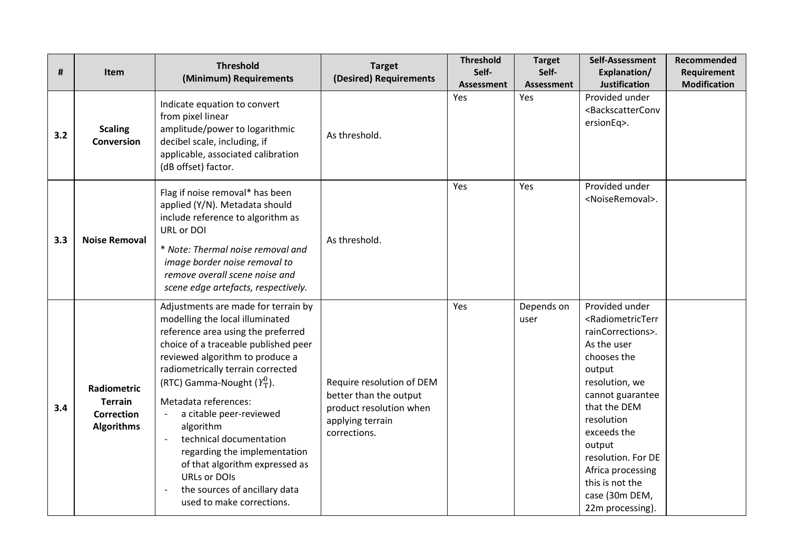| #   | Item                                                                           | <b>Threshold</b><br>(Minimum) Requirements                                                                                                                                                                                                                                                                                                                                                                                                                                                                                                   | <b>Target</b><br>(Desired) Requirements                                                                            | <b>Threshold</b><br>Self- | <b>Target</b><br>Self-   | Self-Assessment<br>Explanation/                                                                                                                                                                                                                                                                                                        | Recommended<br>Requirement |
|-----|--------------------------------------------------------------------------------|----------------------------------------------------------------------------------------------------------------------------------------------------------------------------------------------------------------------------------------------------------------------------------------------------------------------------------------------------------------------------------------------------------------------------------------------------------------------------------------------------------------------------------------------|--------------------------------------------------------------------------------------------------------------------|---------------------------|--------------------------|----------------------------------------------------------------------------------------------------------------------------------------------------------------------------------------------------------------------------------------------------------------------------------------------------------------------------------------|----------------------------|
| 3.2 | <b>Scaling</b><br>Conversion                                                   | Indicate equation to convert<br>from pixel linear<br>amplitude/power to logarithmic<br>decibel scale, including, if<br>applicable, associated calibration<br>(dB offset) factor.                                                                                                                                                                                                                                                                                                                                                             | As threshold.                                                                                                      | <b>Assessment</b><br>Yes  | <b>Assessment</b><br>Yes | Justification<br>Provided under<br><backscatterconv<br>ersionEq&gt;.</backscatterconv<br>                                                                                                                                                                                                                                              | <b>Modification</b>        |
| 3.3 | <b>Noise Removal</b>                                                           | Flag if noise removal* has been<br>applied (Y/N). Metadata should<br>include reference to algorithm as<br>URL or DOI<br>* Note: Thermal noise removal and<br>image border noise removal to<br>remove overall scene noise and<br>scene edge artefacts, respectively.                                                                                                                                                                                                                                                                          | As threshold.                                                                                                      | Yes                       | Yes                      | Provided under<br><noiseremoval>.</noiseremoval>                                                                                                                                                                                                                                                                                       |                            |
| 3.4 | <b>Radiometric</b><br><b>Terrain</b><br><b>Correction</b><br><b>Algorithms</b> | Adjustments are made for terrain by<br>modelling the local illuminated<br>reference area using the preferred<br>choice of a traceable published peer<br>reviewed algorithm to produce a<br>radiometrically terrain corrected<br>(RTC) Gamma-Nought $(Y_T^0)$ .<br>Metadata references:<br>a citable peer-reviewed<br>algorithm<br>technical documentation<br>$\overline{\phantom{a}}$<br>regarding the implementation<br>of that algorithm expressed as<br><b>URLs or DOIs</b><br>the sources of ancillary data<br>used to make corrections. | Require resolution of DEM<br>better than the output<br>product resolution when<br>applying terrain<br>corrections. | Yes                       | Depends on<br>user       | Provided under<br><radiometricterr<br>rainCorrections&gt;.<br/>As the user<br/>chooses the<br/>output<br/>resolution, we<br/>cannot guarantee<br/>that the DEM<br/>resolution<br/>exceeds the<br/>output<br/>resolution. For DE<br/>Africa processing<br/>this is not the<br/>case (30m DEM,<br/>22m processing).</radiometricterr<br> |                            |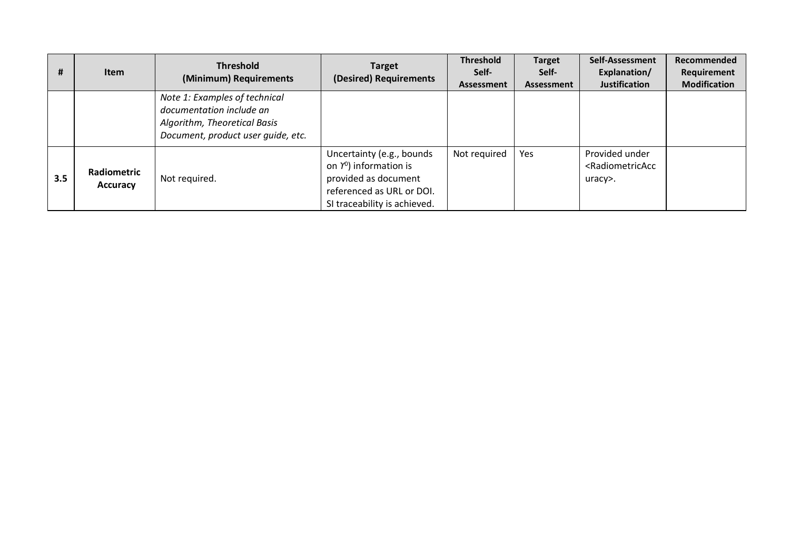| #   | <b>Item</b>                           | <b>Threshold</b><br>(Minimum) Requirements                                                                                      | <b>Target</b><br>(Desired) Requirements                                                                                                                     | <b>Threshold</b><br>Self-<br><b>Assessment</b> | <b>Target</b><br>Self-<br>Assessment | Self-Assessment<br>Explanation/<br><b>Justification</b>             | Recommended<br>Requirement<br><b>Modification</b> |
|-----|---------------------------------------|---------------------------------------------------------------------------------------------------------------------------------|-------------------------------------------------------------------------------------------------------------------------------------------------------------|------------------------------------------------|--------------------------------------|---------------------------------------------------------------------|---------------------------------------------------|
|     |                                       | Note 1: Examples of technical<br>documentation include an<br>Algorithm, Theoretical Basis<br>Document, product user quide, etc. |                                                                                                                                                             |                                                |                                      |                                                                     |                                                   |
| 3.5 | <b>Radiometric</b><br><b>Accuracy</b> | Not required.                                                                                                                   | Uncertainty (e.g., bounds<br>on $\gamma$ <sup>0</sup> ) information is<br>provided as document<br>referenced as URL or DOI.<br>SI traceability is achieved. | Not required                                   | <b>Yes</b>                           | Provided under<br><radiometricacc<br>uracy&gt;.</radiometricacc<br> |                                                   |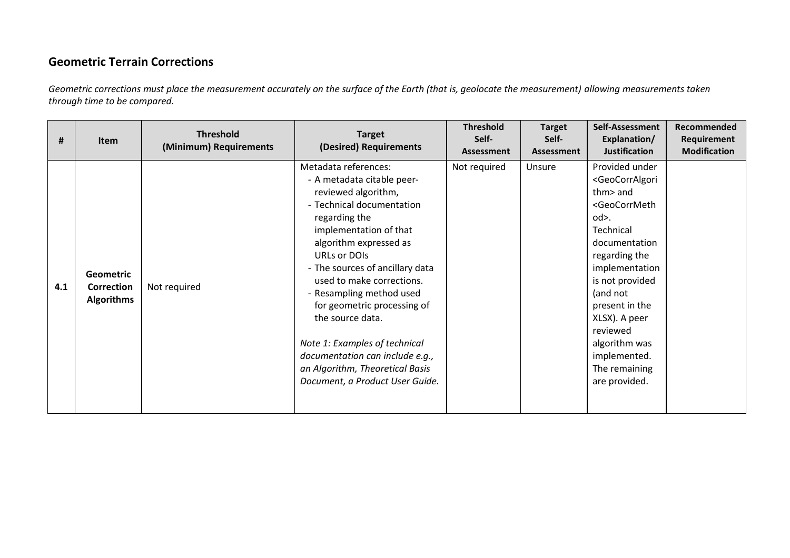## **Geometric Terrain Corrections**

*Geometric corrections must place the measurement accurately on the surface of the Earth (that is, geolocate the measurement) allowing measurements taken through time to be compared.*

| Ħ   | <b>Item</b>                                         | <b>Threshold</b><br>(Minimum) Requirements | <b>Target</b><br>(Desired) Requirements                                                                                                                                                                                                                                                                                                                                                                                                                                              | <b>Threshold</b><br>Self-<br><b>Assessment</b> | <b>Target</b><br>Self-<br>Assessment | Self-Assessment<br>Explanation/<br><b>Justification</b>                                                                                                                                                                                                                                                                                        | Recommended<br>Requirement<br><b>Modification</b> |
|-----|-----------------------------------------------------|--------------------------------------------|--------------------------------------------------------------------------------------------------------------------------------------------------------------------------------------------------------------------------------------------------------------------------------------------------------------------------------------------------------------------------------------------------------------------------------------------------------------------------------------|------------------------------------------------|--------------------------------------|------------------------------------------------------------------------------------------------------------------------------------------------------------------------------------------------------------------------------------------------------------------------------------------------------------------------------------------------|---------------------------------------------------|
| 4.1 | <b>Geometric</b><br>Correction<br><b>Algorithms</b> | Not required                               | Metadata references:<br>- A metadata citable peer-<br>reviewed algorithm,<br>- Technical documentation<br>regarding the<br>implementation of that<br>algorithm expressed as<br>URLs or DOIs<br>- The sources of ancillary data<br>used to make corrections.<br>- Resampling method used<br>for geometric processing of<br>the source data.<br>Note 1: Examples of technical<br>documentation can include e.g.,<br>an Algorithm, Theoretical Basis<br>Document, a Product User Guide. | Not required                                   | Unsure                               | Provided under<br><geocorralgori<br>thm&gt; and<br/><geocorrmeth<br>od&gt;.<br/>Technical<br/>documentation<br/>regarding the<br/>implementation<br/>is not provided<br/>(and not<br/>present in the<br/>XLSX). A peer<br/>reviewed<br/>algorithm was<br/>implemented.<br/>The remaining<br/>are provided.</geocorrmeth<br></geocorralgori<br> |                                                   |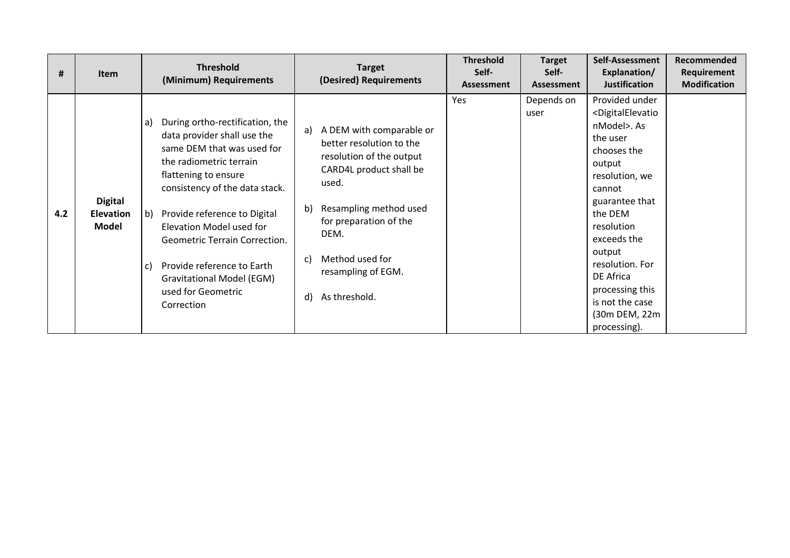| Ħ.  | <b>Item</b>                                 | <b>Threshold</b><br>(Minimum) Requirements                                                                                                                                                                                                                                                                                                                                                                                             | <b>Target</b><br>(Desired) Requirements                                                                                                                                                                                                                                      | <b>Threshold</b><br>Self-<br>Assessment | <b>Target</b><br>Self-<br><b>Assessment</b> | Self-Assessment<br>Explanation/<br><b>Justification</b>                                                                                                                                                                                                                                                                               | Recommended<br>Requirement<br><b>Modification</b> |
|-----|---------------------------------------------|----------------------------------------------------------------------------------------------------------------------------------------------------------------------------------------------------------------------------------------------------------------------------------------------------------------------------------------------------------------------------------------------------------------------------------------|------------------------------------------------------------------------------------------------------------------------------------------------------------------------------------------------------------------------------------------------------------------------------|-----------------------------------------|---------------------------------------------|---------------------------------------------------------------------------------------------------------------------------------------------------------------------------------------------------------------------------------------------------------------------------------------------------------------------------------------|---------------------------------------------------|
| 4.2 | <b>Digital</b><br><b>Elevation</b><br>Model | During ortho-rectification, the<br>a)<br>data provider shall use the<br>same DEM that was used for<br>the radiometric terrain<br>flattening to ensure<br>consistency of the data stack.<br>$\vert b \rangle$<br>Provide reference to Digital<br>Elevation Model used for<br><b>Geometric Terrain Correction.</b><br>Provide reference to Earth<br>$\mathsf{C}$<br><b>Gravitational Model (EGM)</b><br>used for Geometric<br>Correction | A DEM with comparable or<br>a)<br>better resolution to the<br>resolution of the output<br>CARD4L product shall be<br>used.<br>Resampling method used<br>b)<br>for preparation of the<br>DEM.<br>Method used for<br>$\mathsf{C}$<br>resampling of EGM.<br>As threshold.<br>d) | Yes                                     | Depends on<br>user                          | Provided under<br><digitalelevatio<br>nModel&gt;. As<br/>the user<br/>chooses the<br/>output<br/>resolution, we<br/>cannot<br/>guarantee that<br/>the DEM<br/>resolution<br/>exceeds the<br/>output<br/>resolution. For<br/>DE Africa<br/>processing this<br/>is not the case<br/>(30m DEM, 22m<br/>processing).</digitalelevatio<br> |                                                   |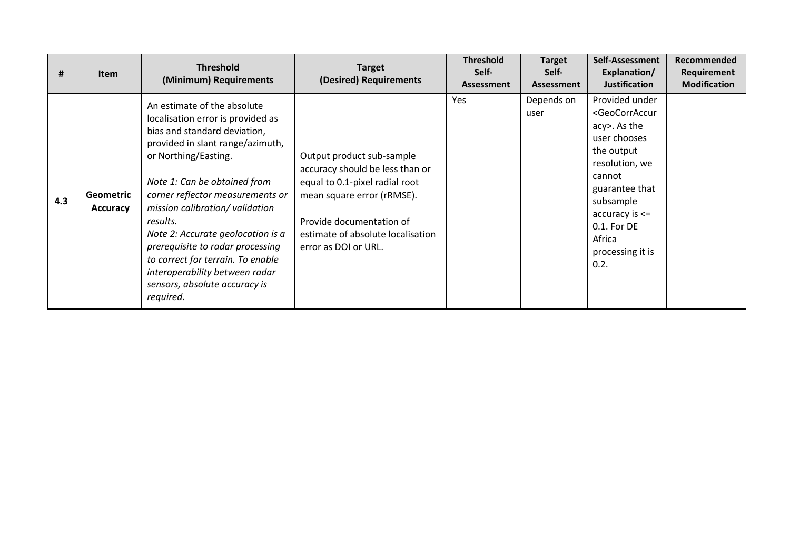| Ħ.  | <b>Item</b>                         | <b>Threshold</b><br>(Minimum) Requirements                                                                                                                                                                                                                                                                                                                                                                                                                                   | <b>Target</b><br>(Desired) Requirements                                                                                                                                                                               | <b>Threshold</b><br>Self-<br>Assessment | <b>Target</b><br>Self-<br><b>Assessment</b> | Self-Assessment<br>Explanation/<br><b>Justification</b>                                                                                                                                                                                                          | Recommended<br>Requirement<br><b>Modification</b> |
|-----|-------------------------------------|------------------------------------------------------------------------------------------------------------------------------------------------------------------------------------------------------------------------------------------------------------------------------------------------------------------------------------------------------------------------------------------------------------------------------------------------------------------------------|-----------------------------------------------------------------------------------------------------------------------------------------------------------------------------------------------------------------------|-----------------------------------------|---------------------------------------------|------------------------------------------------------------------------------------------------------------------------------------------------------------------------------------------------------------------------------------------------------------------|---------------------------------------------------|
| 4.3 | <b>Geometric</b><br><b>Accuracy</b> | An estimate of the absolute<br>localisation error is provided as<br>bias and standard deviation,<br>provided in slant range/azimuth,<br>or Northing/Easting.<br>Note 1: Can be obtained from<br>corner reflector measurements or<br>mission calibration/validation<br>results.<br>Note 2: Accurate geolocation is a<br>prerequisite to radar processing<br>to correct for terrain. To enable<br>interoperability between radar<br>sensors, absolute accuracy is<br>required. | Output product sub-sample<br>accuracy should be less than or<br>equal to 0.1-pixel radial root<br>mean square error (rRMSE).<br>Provide documentation of<br>estimate of absolute localisation<br>error as DOI or URL. | Yes                                     | Depends on<br>user                          | Provided under<br><geocorraccur<br>acy&gt;. As the<br/>user chooses<br/>the output<br/>resolution, we<br/>cannot<br/>guarantee that<br/>subsample<br/><math>accuracy is &lt; =</math><br/>0.1. For DE<br/>Africa<br/>processing it is<br/>0.2.</geocorraccur<br> |                                                   |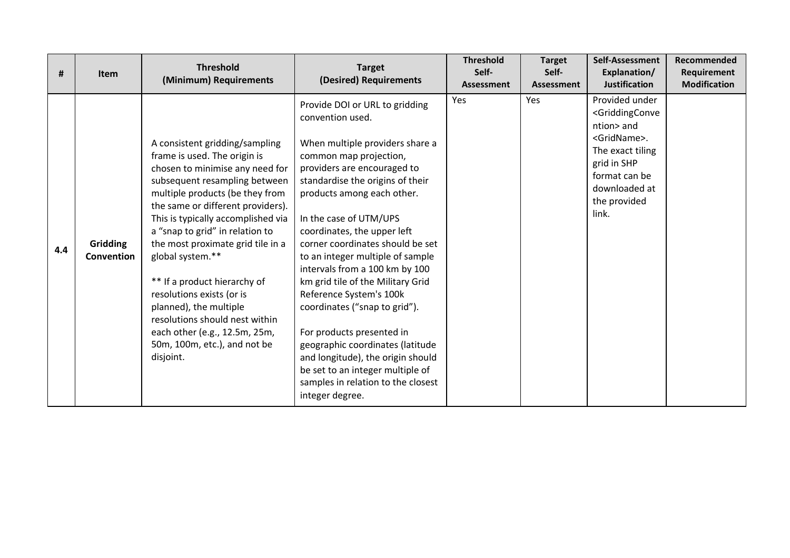| #   | <b>Item</b>            | <b>Threshold</b><br>(Minimum) Requirements                                                                                                                                                                                                                                                                                                                                                                                                                                                                                                          | <b>Target</b><br>(Desired) Requirements                                                                                                                                                                                                                                                                                                                                                                                                                                                                                                                                                                                                                                                 | <b>Threshold</b><br>Self-<br>Assessment | <b>Target</b><br>Self-<br>Assessment | Self-Assessment<br>Explanation/<br><b>Justification</b>                                                                                                                                             | Recommended<br>Requirement<br><b>Modification</b> |
|-----|------------------------|-----------------------------------------------------------------------------------------------------------------------------------------------------------------------------------------------------------------------------------------------------------------------------------------------------------------------------------------------------------------------------------------------------------------------------------------------------------------------------------------------------------------------------------------------------|-----------------------------------------------------------------------------------------------------------------------------------------------------------------------------------------------------------------------------------------------------------------------------------------------------------------------------------------------------------------------------------------------------------------------------------------------------------------------------------------------------------------------------------------------------------------------------------------------------------------------------------------------------------------------------------------|-----------------------------------------|--------------------------------------|-----------------------------------------------------------------------------------------------------------------------------------------------------------------------------------------------------|---------------------------------------------------|
| 4.4 | Gridding<br>Convention | A consistent gridding/sampling<br>frame is used. The origin is<br>chosen to minimise any need for<br>subsequent resampling between<br>multiple products (be they from<br>the same or different providers).<br>This is typically accomplished via<br>a "snap to grid" in relation to<br>the most proximate grid tile in a<br>global system.**<br>** If a product hierarchy of<br>resolutions exists (or is<br>planned), the multiple<br>resolutions should nest within<br>each other (e.g., 12.5m, 25m,<br>50m, 100m, etc.), and not be<br>disjoint. | Provide DOI or URL to gridding<br>convention used.<br>When multiple providers share a<br>common map projection,<br>providers are encouraged to<br>standardise the origins of their<br>products among each other.<br>In the case of UTM/UPS<br>coordinates, the upper left<br>corner coordinates should be set<br>to an integer multiple of sample<br>intervals from a 100 km by 100<br>km grid tile of the Military Grid<br>Reference System's 100k<br>coordinates ("snap to grid").<br>For products presented in<br>geographic coordinates (latitude<br>and longitude), the origin should<br>be set to an integer multiple of<br>samples in relation to the closest<br>integer degree. | Yes                                     | Yes                                  | Provided under<br><griddingconve<br>ntion&gt; and<br/><gridname>.<br/>The exact tiling<br/>grid in SHP<br/>format can be<br/>downloaded at<br/>the provided<br/>link.</gridname></griddingconve<br> |                                                   |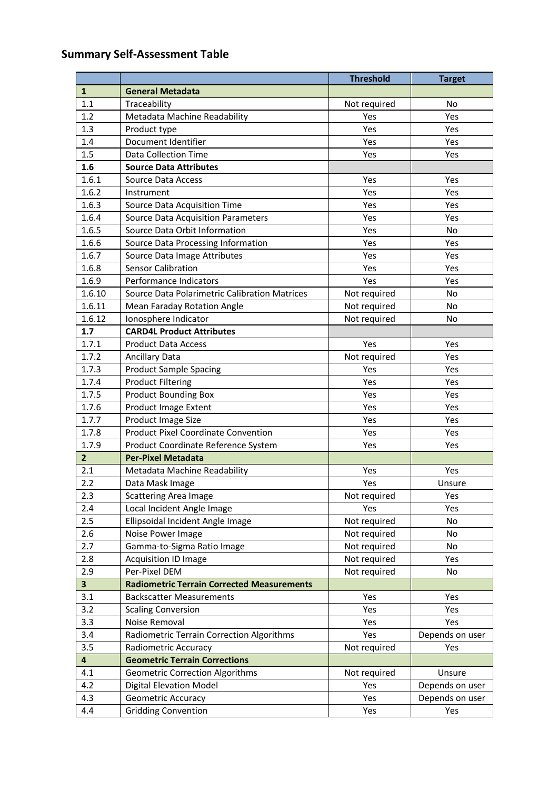# **Summary Self-Assessment Table**

|                         |                                                      | <b>Threshold</b> | <b>Target</b>   |
|-------------------------|------------------------------------------------------|------------------|-----------------|
| $\mathbf{1}$            | <b>General Metadata</b>                              |                  |                 |
| 1.1                     | Traceability                                         | Not required     | No              |
| 1.2                     | Metadata Machine Readability                         | Yes              | Yes             |
| 1.3                     | Product type                                         | Yes              | Yes             |
| 1.4                     | Document Identifier                                  | Yes              | Yes             |
| 1.5                     | <b>Data Collection Time</b>                          | Yes              | Yes             |
| 1.6                     | <b>Source Data Attributes</b>                        |                  |                 |
| 1.6.1                   | <b>Source Data Access</b>                            | Yes              | Yes             |
| 1.6.2                   | Instrument                                           | Yes              | Yes             |
| 1.6.3                   | Source Data Acquisition Time                         | Yes              | Yes             |
| 1.6.4                   | <b>Source Data Acquisition Parameters</b>            | Yes              | Yes             |
| 1.6.5                   | Source Data Orbit Information                        | Yes              | <b>No</b>       |
| 1.6.6                   | Source Data Processing Information                   | Yes              | Yes             |
| 1.6.7                   | Source Data Image Attributes                         | Yes              | Yes             |
| 1.6.8                   | <b>Sensor Calibration</b>                            | Yes              | Yes             |
| 1.6.9                   | Performance Indicators                               | Yes              | Yes             |
| 1.6.10                  | <b>Source Data Polarimetric Calibration Matrices</b> | Not required     | No              |
| 1.6.11                  | <b>Mean Faraday Rotation Angle</b>                   | Not required     | <b>No</b>       |
| 1.6.12                  | Ionosphere Indicator                                 | Not required     | No              |
| 1.7                     | <b>CARD4L Product Attributes</b>                     |                  |                 |
| 1.7.1                   | <b>Product Data Access</b>                           | Yes              | Yes             |
| 1.7.2                   | <b>Ancillary Data</b>                                | Not required     | Yes             |
| 1.7.3                   | <b>Product Sample Spacing</b>                        | Yes              | Yes             |
| 1.7.4                   | <b>Product Filtering</b>                             | Yes              | Yes             |
| 1.7.5                   | <b>Product Bounding Box</b>                          | Yes              | Yes             |
| 1.7.6                   | <b>Product Image Extent</b>                          | Yes              | Yes             |
| 1.7.7                   | Product Image Size                                   | Yes              | Yes             |
| 1.7.8                   | <b>Product Pixel Coordinate Convention</b>           | Yes              | Yes             |
| 1.7.9                   | Product Coordinate Reference System                  | Yes              | Yes             |
| $\overline{2}$          | <b>Per-Pixel Metadata</b>                            |                  |                 |
| 2.1                     | Metadata Machine Readability                         | Yes              | Yes             |
| 2.2                     | Data Mask Image                                      | Yes              | Unsure          |
| 2.3                     | <b>Scattering Area Image</b>                         | Not required     | Yes             |
| 2.4                     | Local Incident Angle Image                           | Yes              | Yes             |
| 2.5                     | Ellipsoidal Incident Angle Image                     | Not required     | No              |
| 2.6                     | Noise Power Image                                    | Not required     | No              |
| 2.7                     | Gamma-to-Sigma Ratio Image                           | Not required     | No              |
| 2.8                     | Acquisition ID Image                                 | Not required     | Yes             |
| 2.9                     | Per-Pixel DEM                                        | Not required     | No              |
| $\overline{\mathbf{3}}$ | <b>Radiometric Terrain Corrected Measurements</b>    |                  |                 |
| 3.1                     | <b>Backscatter Measurements</b>                      | Yes              | Yes             |
| 3.2                     | <b>Scaling Conversion</b>                            | Yes              | Yes             |
| 3.3                     | Noise Removal                                        | Yes              | Yes             |
| 3.4                     | Radiometric Terrain Correction Algorithms            | Yes              | Depends on user |
| 3.5                     | <b>Radiometric Accuracy</b>                          | Not required     | Yes             |
| $\overline{\mathbf{4}}$ | <b>Geometric Terrain Corrections</b>                 |                  |                 |
| 4.1                     | <b>Geometric Correction Algorithms</b>               | Not required     | Unsure          |
| 4.2                     | <b>Digital Elevation Model</b>                       | Yes              | Depends on user |
| 4.3                     | <b>Geometric Accuracy</b>                            | Yes              | Depends on user |
| 4.4                     | <b>Gridding Convention</b>                           | Yes              | Yes             |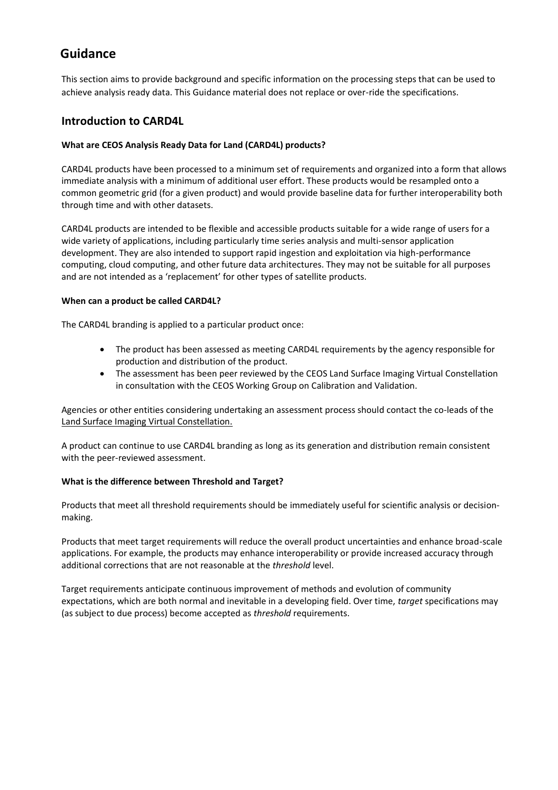## **Guidance**

This section aims to provide background and specific information on the processing steps that can be used to achieve analysis ready data. This Guidance material does not replace or over-ride the specifications.

#### **Introduction to CARD4L**

#### **What are CEOS Analysis Ready Data for Land (CARD4L) products?**

CARD4L products have been processed to a minimum set of requirements and organized into a form that allows immediate analysis with a minimum of additional user effort. These products would be resampled onto a common geometric grid (for a given product) and would provide baseline data for further interoperability both through time and with other datasets.

CARD4L products are intended to be flexible and accessible products suitable for a wide range of users for a wide variety of applications, including particularly time series analysis and multi-sensor application development. They are also intended to support rapid ingestion and exploitation via high-performance computing, cloud computing, and other future data architectures. They may not be suitable for all purposes and are not intended as a 'replacement' for other types of satellite products.

#### **When can a product be called CARD4L?**

The CARD4L branding is applied to a particular product once:

- The product has been assessed as meeting CARD4L requirements by the agency responsible for production and distribution of the product.
- The assessment has been peer reviewed by the CEOS Land Surface Imaging Virtual Constellation in consultation with the CEOS Working Group on Calibration and Validation.

Agencies or other entities considering undertaking an assessment process should contact the co-leads of the [Land Surface Imaging Virtual Constellation.](http://ceos.org/ourwork/virtual-constellations/lsi/)

A product can continue to use CARD4L branding as long as its generation and distribution remain consistent with the peer-reviewed assessment.

#### **What is the difference between Threshold and Target?**

Products that meet all threshold requirements should be immediately useful for scientific analysis or decisionmaking.

Products that meet target requirements will reduce the overall product uncertainties and enhance broad-scale applications. For example, the products may enhance interoperability or provide increased accuracy through additional corrections that are not reasonable at the *threshold* level.

Target requirements anticipate continuous improvement of methods and evolution of community expectations, which are both normal and inevitable in a developing field. Over time, *target* specifications may (as subject to due process) become accepted as *threshold* requirements.